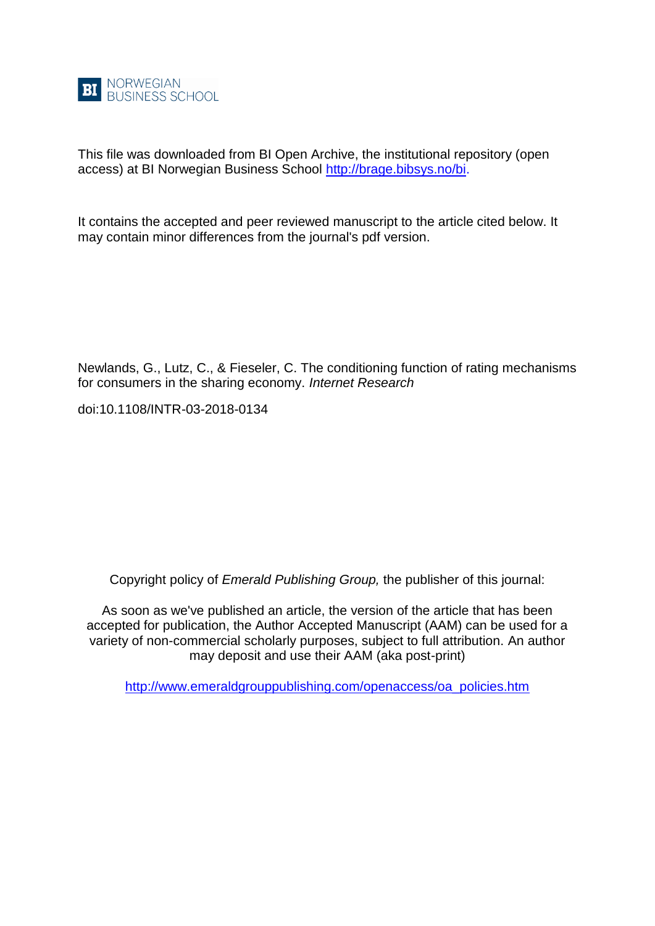

This file was downloaded from BI Open Archive, the institutional repository (open access) at BI Norwegian Business School [http://brage.bibsys.no/bi.](http://brage.bibsys.no/bi)

It contains the accepted and peer reviewed manuscript to the article cited below. It may contain minor differences from the journal's pdf version.

Newlands, G., Lutz, C., & Fieseler, C. The conditioning function of rating mechanisms for consumers in the sharing economy. *Internet Research*

doi:10.1108/INTR-03-2018-0134

Copyright policy of *Emerald Publishing Group,* the publisher of this journal:

As soon as we've published an article, the version of the article that has been accepted for publication, the Author Accepted Manuscript (AAM) can be used for a variety of non-commercial scholarly purposes, subject to full attribution. An author may deposit and use their AAM (aka post-print)

[http://www.emeraldgrouppublishing.com/openaccess/oa\\_policies.htm](http://www.emeraldgrouppublishing.com/openaccess/oa_policies.htm)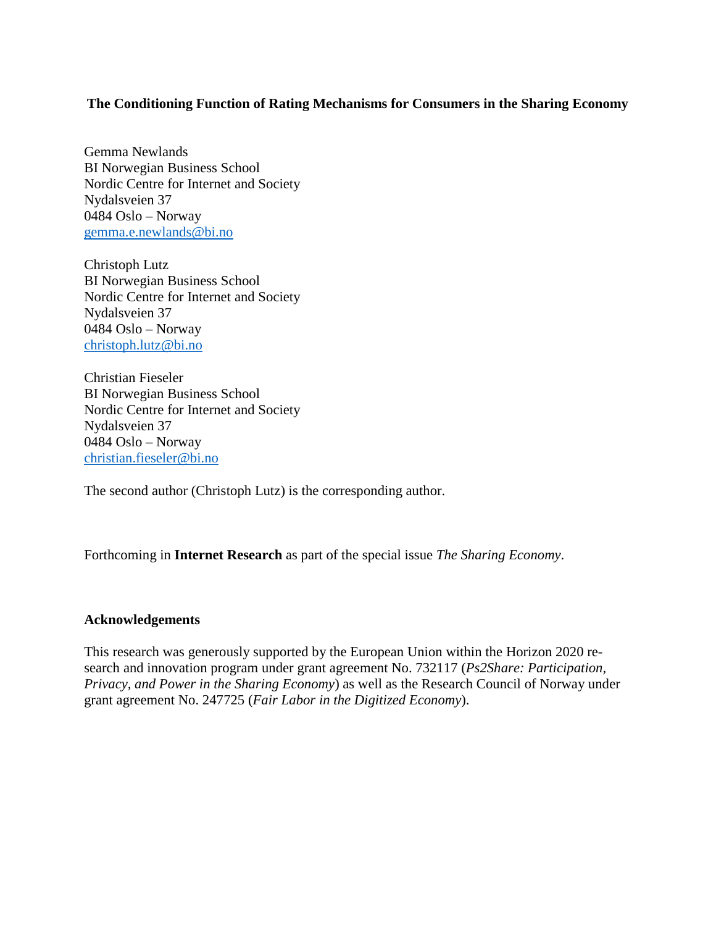# **The Conditioning Function of Rating Mechanisms for Consumers in the Sharing Economy**

Gemma Newlands BI Norwegian Business School Nordic Centre for Internet and Society Nydalsveien 37 0484 Oslo – Norway [gemma.e.newlands@bi.no](mailto:gemma.e.newlands@bi.no)

Christoph Lutz BI Norwegian Business School Nordic Centre for Internet and Society Nydalsveien 37 0484 Oslo – Norway [christoph.lutz@bi.no](mailto:christoph.lutz@bi.no)

Christian Fieseler BI Norwegian Business School Nordic Centre for Internet and Society Nydalsveien 37 0484 Oslo – Norway [christian.fieseler@bi.no](mailto:christian.fieseler@bi.no)

The second author (Christoph Lutz) is the corresponding author.

Forthcoming in **Internet Research** as part of the special issue *The Sharing Economy*.

# **Acknowledgements**

This research was generously supported by the European Union within the Horizon 2020 research and innovation program under grant agreement No. 732117 (*Ps2Share: Participation, Privacy, and Power in the Sharing Economy*) as well as the Research Council of Norway under grant agreement No. 247725 (*Fair Labor in the Digitized Economy*).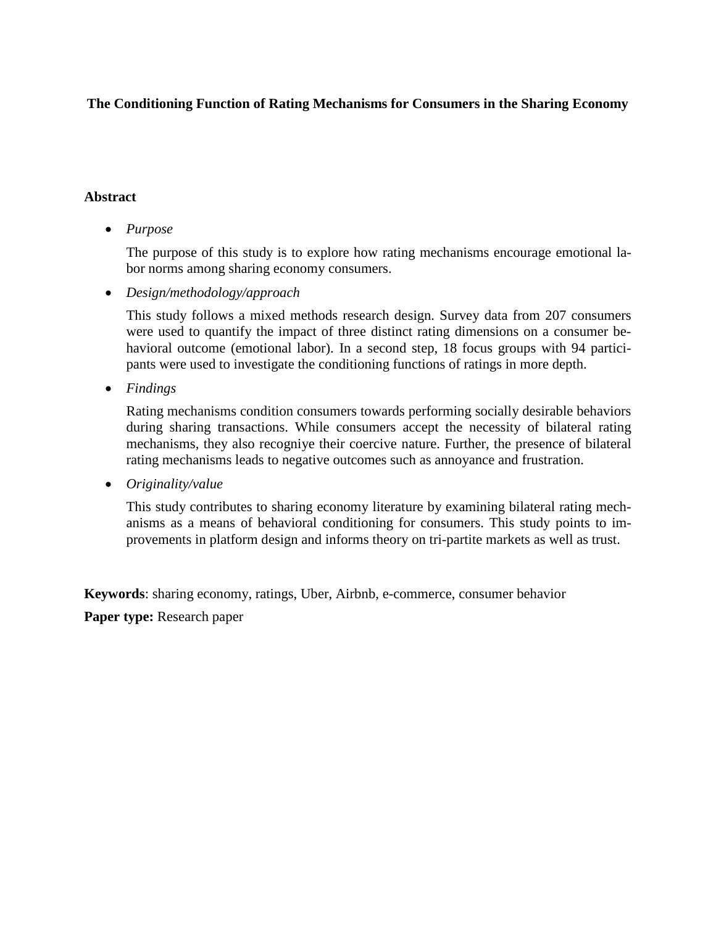# **The Conditioning Function of Rating Mechanisms for Consumers in the Sharing Economy**

# **Abstract**

• *Purpose* 

The purpose of this study is to explore how rating mechanisms encourage emotional labor norms among sharing economy consumers.

• *Design/methodology/approach* 

This study follows a mixed methods research design. Survey data from 207 consumers were used to quantify the impact of three distinct rating dimensions on a consumer behavioral outcome (emotional labor). In a second step, 18 focus groups with 94 participants were used to investigate the conditioning functions of ratings in more depth.

• *Findings* 

Rating mechanisms condition consumers towards performing socially desirable behaviors during sharing transactions. While consumers accept the necessity of bilateral rating mechanisms, they also recogniye their coercive nature. Further, the presence of bilateral rating mechanisms leads to negative outcomes such as annoyance and frustration.

• *Originality/value* 

This study contributes to sharing economy literature by examining bilateral rating mechanisms as a means of behavioral conditioning for consumers. This study points to improvements in platform design and informs theory on tri-partite markets as well as trust.

**Keywords**: sharing economy, ratings, Uber, Airbnb, e-commerce, consumer behavior

**Paper type:** Research paper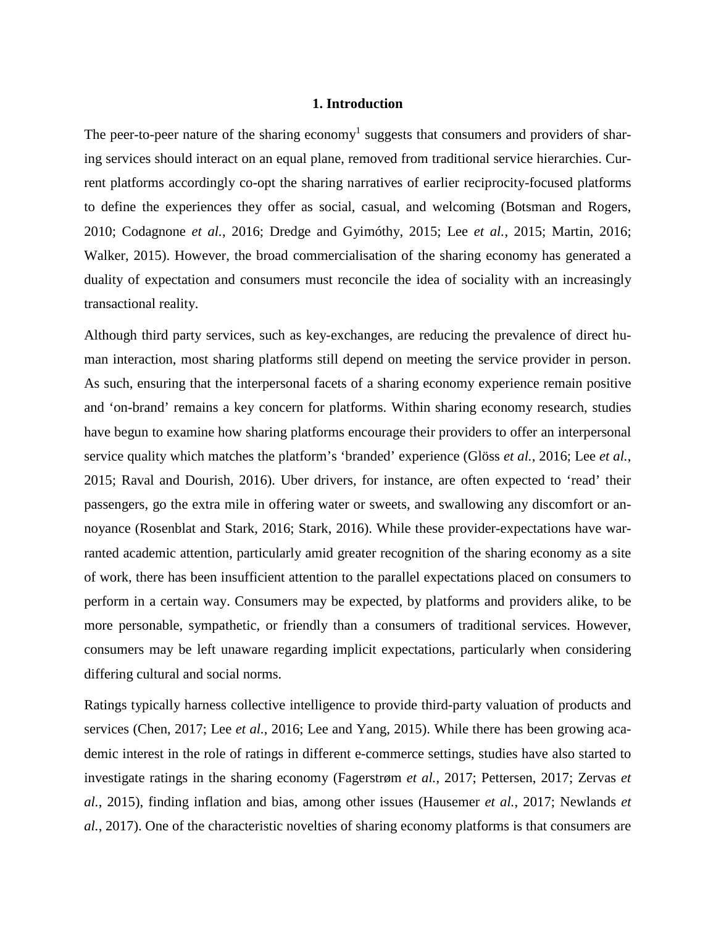# **1. Introduction**

The peer-to-peer nature of the sharing economy<sup>1</sup> suggests that consumers and providers of sharing services should interact on an equal plane, removed from traditional service hierarchies. Current platforms accordingly co-opt the sharing narratives of earlier reciprocity-focused platforms to define the experiences they offer as social, casual, and welcoming (Botsman and Rogers, 2010; Codagnone *et al.*, 2016; Dredge and Gyimóthy, 2015; Lee *et al.*, 2015; Martin, 2016; Walker, 2015). However, the broad commercialisation of the sharing economy has generated a duality of expectation and consumers must reconcile the idea of sociality with an increasingly transactional reality.

Although third party services, such as key-exchanges, are reducing the prevalence of direct human interaction, most sharing platforms still depend on meeting the service provider in person. As such, ensuring that the interpersonal facets of a sharing economy experience remain positive and 'on-brand' remains a key concern for platforms. Within sharing economy research, studies have begun to examine how sharing platforms encourage their providers to offer an interpersonal service quality which matches the platform's 'branded' experience (Glöss *et al.*, 2016; Lee *et al.*, 2015; Raval and Dourish, 2016). Uber drivers, for instance, are often expected to 'read' their passengers, go the extra mile in offering water or sweets, and swallowing any discomfort or annoyance (Rosenblat and Stark, 2016; Stark, 2016). While these provider-expectations have warranted academic attention, particularly amid greater recognition of the sharing economy as a site of work, there has been insufficient attention to the parallel expectations placed on consumers to perform in a certain way. Consumers may be expected, by platforms and providers alike, to be more personable, sympathetic, or friendly than a consumers of traditional services. However, consumers may be left unaware regarding implicit expectations, particularly when considering differing cultural and social norms.

Ratings typically harness collective intelligence to provide third-party valuation of products and services (Chen, 2017; Lee *et al.*, 2016; Lee and Yang, 2015). While there has been growing academic interest in the role of ratings in different e-commerce settings, studies have also started to investigate ratings in the sharing economy (Fagerstrøm *et al.*, 2017; Pettersen, 2017; Zervas *et al.*, 2015), finding inflation and bias, among other issues (Hausemer *et al.*, 2017; Newlands *et al.*, 2017). One of the characteristic novelties of sharing economy platforms is that consumers are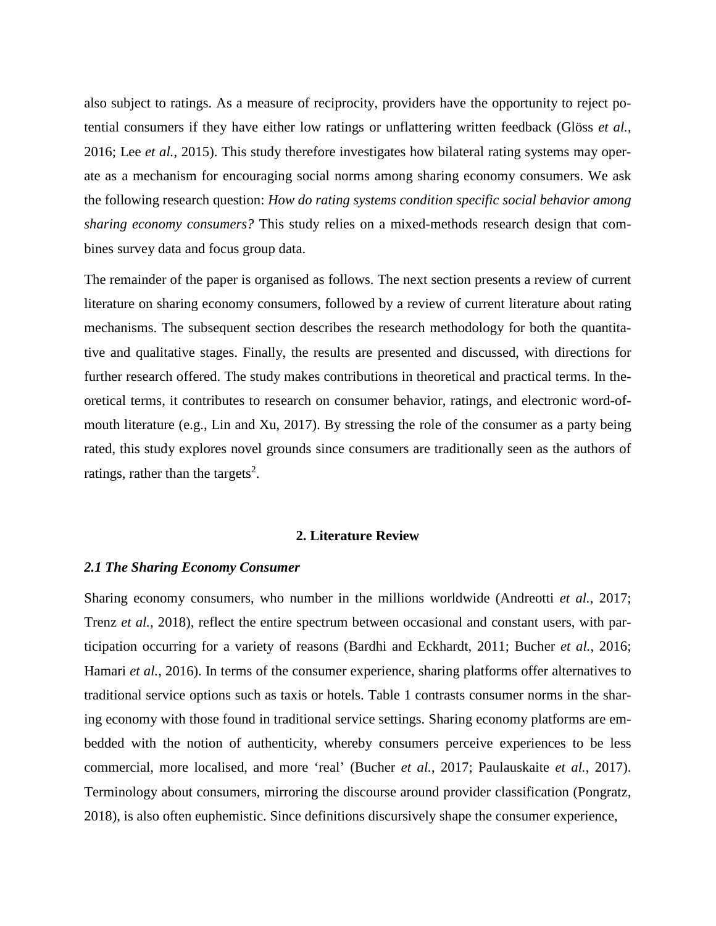also subject to ratings. As a measure of reciprocity, providers have the opportunity to reject potential consumers if they have either low ratings or unflattering written feedback (Glöss *et al.*, 2016; Lee *et al.*, 2015). This study therefore investigates how bilateral rating systems may operate as a mechanism for encouraging social norms among sharing economy consumers. We ask the following research question: *How do rating systems condition specific social behavior among sharing economy consumers?* This study relies on a mixed-methods research design that combines survey data and focus group data.

The remainder of the paper is organised as follows. The next section presents a review of current literature on sharing economy consumers, followed by a review of current literature about rating mechanisms. The subsequent section describes the research methodology for both the quantitative and qualitative stages. Finally, the results are presented and discussed, with directions for further research offered. The study makes contributions in theoretical and practical terms. In theoretical terms, it contributes to research on consumer behavior, ratings, and electronic word-ofmouth literature (e.g., Lin and Xu, 2017). By stressing the role of the consumer as a party being rated, this study explores novel grounds since consumers are traditionally seen as the authors of ratings, rather than the targets<sup>2</sup>.

#### **2. Literature Review**

#### *2.1 The Sharing Economy Consumer*

Sharing economy consumers, who number in the millions worldwide (Andreotti *et al.*, 2017; Trenz *et al.,* 2018), reflect the entire spectrum between occasional and constant users, with participation occurring for a variety of reasons (Bardhi and Eckhardt, 2011; Bucher *et al.*, 2016; Hamari *et al.*, 2016). In terms of the consumer experience, sharing platforms offer alternatives to traditional service options such as taxis or hotels. Table 1 contrasts consumer norms in the sharing economy with those found in traditional service settings. Sharing economy platforms are embedded with the notion of authenticity, whereby consumers perceive experiences to be less commercial, more localised, and more 'real' (Bucher *et al.*, 2017; Paulauskaite *et al.*, 2017). Terminology about consumers, mirroring the discourse around provider classification (Pongratz, 2018), is also often euphemistic. Since definitions discursively shape the consumer experience,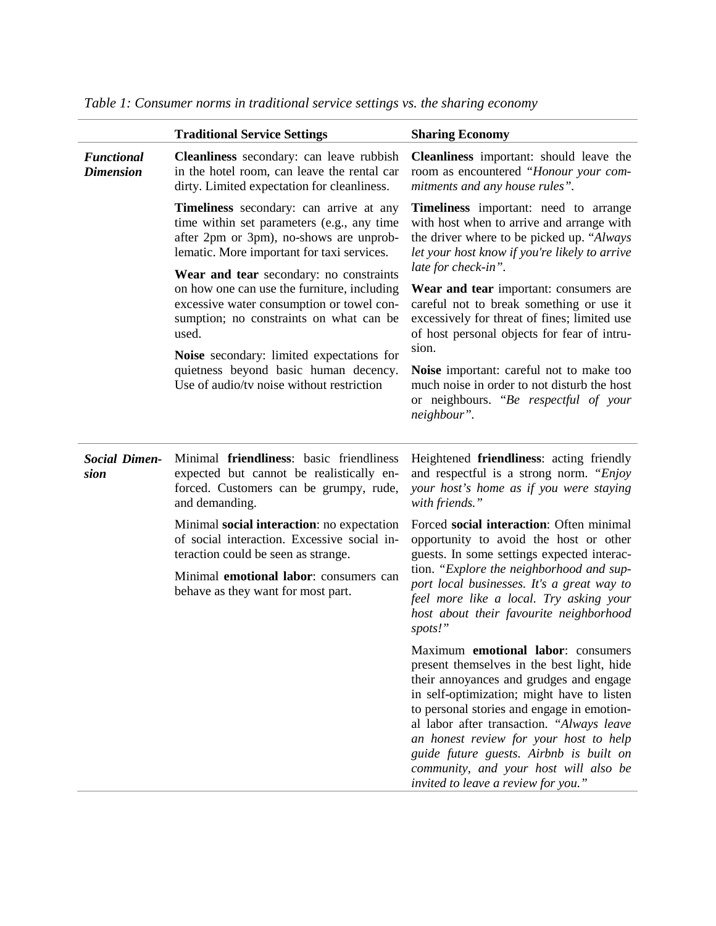|                                       | <b>Traditional Service Settings</b>                                                                                                                                                     | <b>Sharing Economy</b>                                                                                                                                                                                                                                                                                                                                                                                                                    |  |  |
|---------------------------------------|-----------------------------------------------------------------------------------------------------------------------------------------------------------------------------------------|-------------------------------------------------------------------------------------------------------------------------------------------------------------------------------------------------------------------------------------------------------------------------------------------------------------------------------------------------------------------------------------------------------------------------------------------|--|--|
| <b>Functional</b><br><b>Dimension</b> | <b>Cleanliness</b> secondary: can leave rubbish<br>in the hotel room, can leave the rental car<br>dirty. Limited expectation for cleanliness.                                           | Cleanliness important: should leave the<br>room as encountered "Honour your com-<br>mitments and any house rules".                                                                                                                                                                                                                                                                                                                        |  |  |
|                                       | Timeliness secondary: can arrive at any<br>time within set parameters (e.g., any time<br>after 2pm or 3pm), no-shows are unprob-<br>lematic. More important for taxi services.          | Timeliness important: need to arrange<br>with host when to arrive and arrange with<br>the driver where to be picked up. "Always"<br>let your host know if you're likely to arrive                                                                                                                                                                                                                                                         |  |  |
|                                       | Wear and tear secondary: no constraints<br>on how one can use the furniture, including<br>excessive water consumption or towel con-<br>sumption; no constraints on what can be<br>used. | late for check-in".<br>Wear and tear important: consumers are<br>careful not to break something or use it<br>excessively for threat of fines; limited use<br>of host personal objects for fear of intru-                                                                                                                                                                                                                                  |  |  |
|                                       | Noise secondary: limited expectations for<br>quietness beyond basic human decency.<br>Use of audio/tv noise without restriction                                                         | sion.<br>Noise important: careful not to make too<br>much noise in order to not disturb the host<br>or neighbours. "Be respectful of your<br>neighbour".                                                                                                                                                                                                                                                                                  |  |  |
| <b>Social Dimen-</b><br>sion          | Minimal friendliness: basic friendliness<br>expected but cannot be realistically en-<br>forced. Customers can be grumpy, rude,<br>and demanding.                                        | Heightened friendliness: acting friendly<br>and respectful is a strong norm. "Enjoy<br>your host's home as if you were staying<br>with friends."                                                                                                                                                                                                                                                                                          |  |  |
|                                       | Minimal social interaction: no expectation<br>of social interaction. Excessive social in-<br>teraction could be seen as strange.                                                        | Forced social interaction: Often minimal<br>opportunity to avoid the host or other<br>guests. In some settings expected interac-<br>tion. "Explore the neighborhood and sup-<br>port local businesses. It's a great way to<br>feel more like a local. Try asking your<br>host about their favourite neighborhood<br>spots!"                                                                                                               |  |  |
|                                       | Minimal <b>emotional labor</b> : consumers can<br>behave as they want for most part.                                                                                                    |                                                                                                                                                                                                                                                                                                                                                                                                                                           |  |  |
|                                       |                                                                                                                                                                                         | Maximum emotional labor: consumers<br>present themselves in the best light, hide<br>their annoyances and grudges and engage<br>in self-optimization; might have to listen<br>to personal stories and engage in emotion-<br>al labor after transaction. "Always leave<br>an honest review for your host to help<br>guide future guests. Airbnb is built on<br>community, and your host will also be<br>invited to leave a review for you." |  |  |

|  | Table 1: Consumer norms in traditional service settings vs. the sharing economy |  |  |  |  |
|--|---------------------------------------------------------------------------------|--|--|--|--|
|  |                                                                                 |  |  |  |  |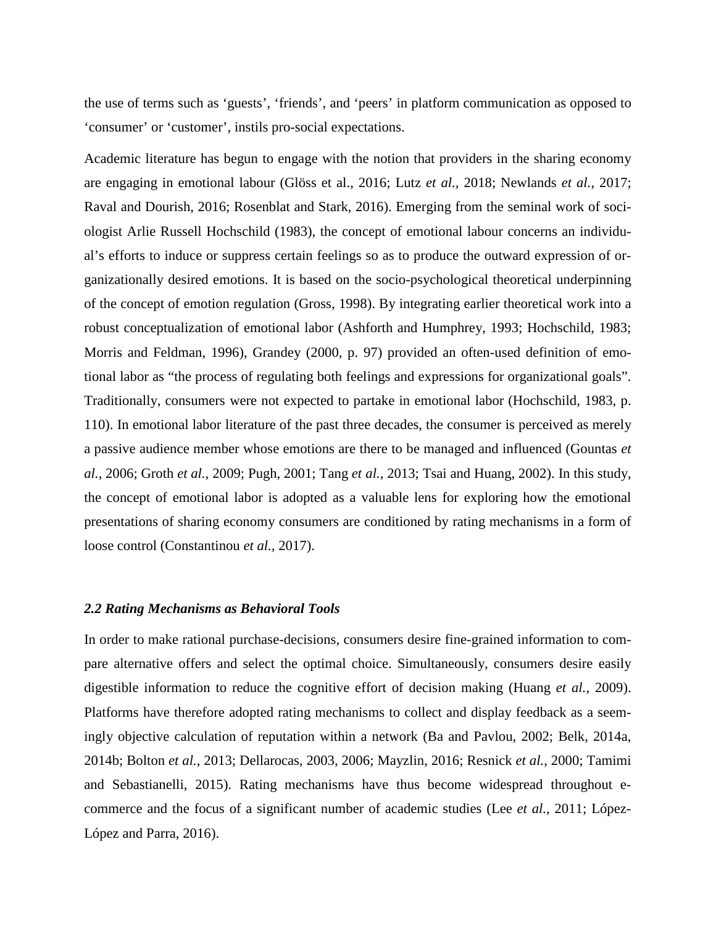the use of terms such as 'guests', 'friends', and 'peers' in platform communication as opposed to 'consumer' or 'customer', instils pro-social expectations.

Academic literature has begun to engage with the notion that providers in the sharing economy are engaging in emotional labour (Glöss et al., 2016; Lutz *et al.*, 2018; Newlands *et al.*, 2017; Raval and Dourish, 2016; Rosenblat and Stark, 2016). Emerging from the seminal work of sociologist Arlie Russell Hochschild (1983), the concept of emotional labour concerns an individual's efforts to induce or suppress certain feelings so as to produce the outward expression of organizationally desired emotions. It is based on the socio-psychological theoretical underpinning of the concept of emotion regulation (Gross, 1998). By integrating earlier theoretical work into a robust conceptualization of emotional labor (Ashforth and Humphrey, 1993; Hochschild, 1983; Morris and Feldman, 1996), Grandey (2000, p. 97) provided an often-used definition of emotional labor as "the process of regulating both feelings and expressions for organizational goals". Traditionally, consumers were not expected to partake in emotional labor (Hochschild, 1983, p. 110). In emotional labor literature of the past three decades, the consumer is perceived as merely a passive audience member whose emotions are there to be managed and influenced (Gountas *et al.*, 2006; Groth *et al.*, 2009; Pugh, 2001; Tang *et al.*, 2013; Tsai and Huang, 2002). In this study, the concept of emotional labor is adopted as a valuable lens for exploring how the emotional presentations of sharing economy consumers are conditioned by rating mechanisms in a form of loose control (Constantinou *et al.,* 2017).

#### *2.2 Rating Mechanisms as Behavioral Tools*

In order to make rational purchase-decisions, consumers desire fine-grained information to compare alternative offers and select the optimal choice. Simultaneously, consumers desire easily digestible information to reduce the cognitive effort of decision making (Huang *et al.*, 2009). Platforms have therefore adopted rating mechanisms to collect and display feedback as a seemingly objective calculation of reputation within a network (Ba and Pavlou, 2002; Belk, 2014a, 2014b; Bolton *et al.*, 2013; Dellarocas, 2003, 2006; Mayzlin, 2016; Resnick *et al.*, 2000; Tamimi and Sebastianelli, 2015). Rating mechanisms have thus become widespread throughout ecommerce and the focus of a significant number of academic studies (Lee *et al.*, 2011; López-López and Parra, 2016).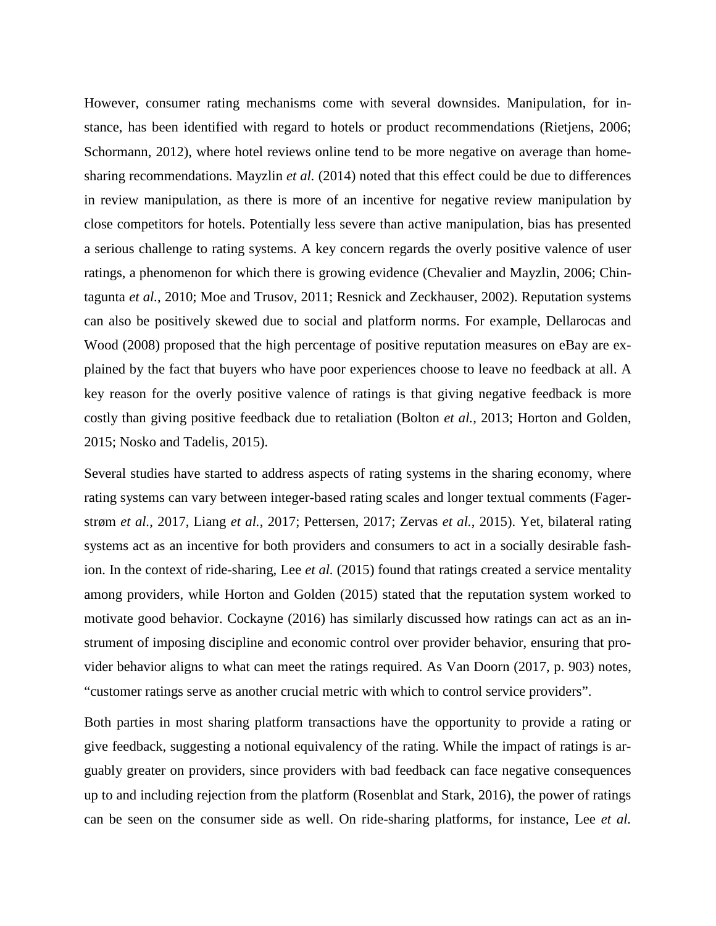However, consumer rating mechanisms come with several downsides. Manipulation, for instance, has been identified with regard to hotels or product recommendations (Rietjens, 2006; Schormann, 2012), where hotel reviews online tend to be more negative on average than homesharing recommendations. Mayzlin *et al.* (2014) noted that this effect could be due to differences in review manipulation, as there is more of an incentive for negative review manipulation by close competitors for hotels. Potentially less severe than active manipulation, bias has presented a serious challenge to rating systems. A key concern regards the overly positive valence of user ratings, a phenomenon for which there is growing evidence (Chevalier and Mayzlin, 2006; Chintagunta *et al.*, 2010; Moe and Trusov, 2011; Resnick and Zeckhauser, 2002). Reputation systems can also be positively skewed due to social and platform norms. For example, Dellarocas and Wood (2008) proposed that the high percentage of positive reputation measures on eBay are explained by the fact that buyers who have poor experiences choose to leave no feedback at all. A key reason for the overly positive valence of ratings is that giving negative feedback is more costly than giving positive feedback due to retaliation (Bolton *et al.*, 2013; Horton and Golden, 2015; Nosko and Tadelis, 2015).

Several studies have started to address aspects of rating systems in the sharing economy, where rating systems can vary between integer-based rating scales and longer textual comments (Fagerstrøm *et al.*, 2017, Liang *et al.*, 2017; Pettersen, 2017; Zervas *et al.*, 2015). Yet, bilateral rating systems act as an incentive for both providers and consumers to act in a socially desirable fashion. In the context of ride-sharing, Lee *et al.* (2015) found that ratings created a service mentality among providers, while Horton and Golden (2015) stated that the reputation system worked to motivate good behavior. Cockayne (2016) has similarly discussed how ratings can act as an instrument of imposing discipline and economic control over provider behavior, ensuring that provider behavior aligns to what can meet the ratings required. As Van Doorn (2017, p. 903) notes, "customer ratings serve as another crucial metric with which to control service providers".

Both parties in most sharing platform transactions have the opportunity to provide a rating or give feedback, suggesting a notional equivalency of the rating. While the impact of ratings is arguably greater on providers, since providers with bad feedback can face negative consequences up to and including rejection from the platform (Rosenblat and Stark, 2016), the power of ratings can be seen on the consumer side as well. On ride-sharing platforms, for instance, Lee *et al.*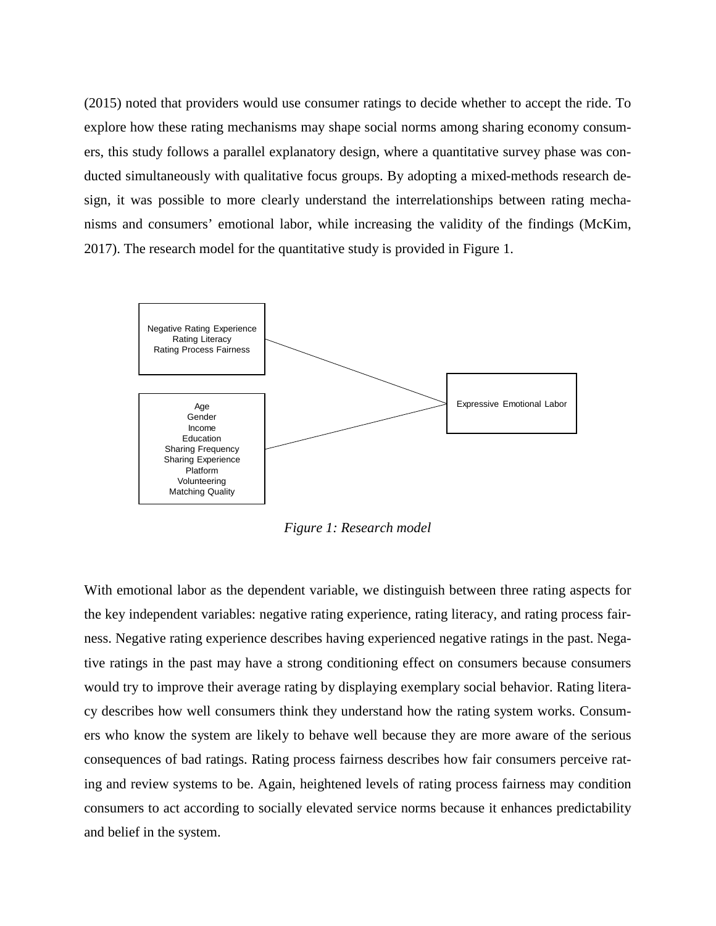(2015) noted that providers would use consumer ratings to decide whether to accept the ride. To explore how these rating mechanisms may shape social norms among sharing economy consumers, this study follows a parallel explanatory design, where a quantitative survey phase was conducted simultaneously with qualitative focus groups. By adopting a mixed-methods research design, it was possible to more clearly understand the interrelationships between rating mechanisms and consumers' emotional labor, while increasing the validity of the findings (McKim, 2017). The research model for the quantitative study is provided in Figure 1.



*Figure 1: Research model* 

With emotional labor as the dependent variable, we distinguish between three rating aspects for the key independent variables: negative rating experience, rating literacy, and rating process fairness. Negative rating experience describes having experienced negative ratings in the past. Negative ratings in the past may have a strong conditioning effect on consumers because consumers would try to improve their average rating by displaying exemplary social behavior. Rating literacy describes how well consumers think they understand how the rating system works. Consumers who know the system are likely to behave well because they are more aware of the serious consequences of bad ratings. Rating process fairness describes how fair consumers perceive rating and review systems to be. Again, heightened levels of rating process fairness may condition consumers to act according to socially elevated service norms because it enhances predictability and belief in the system.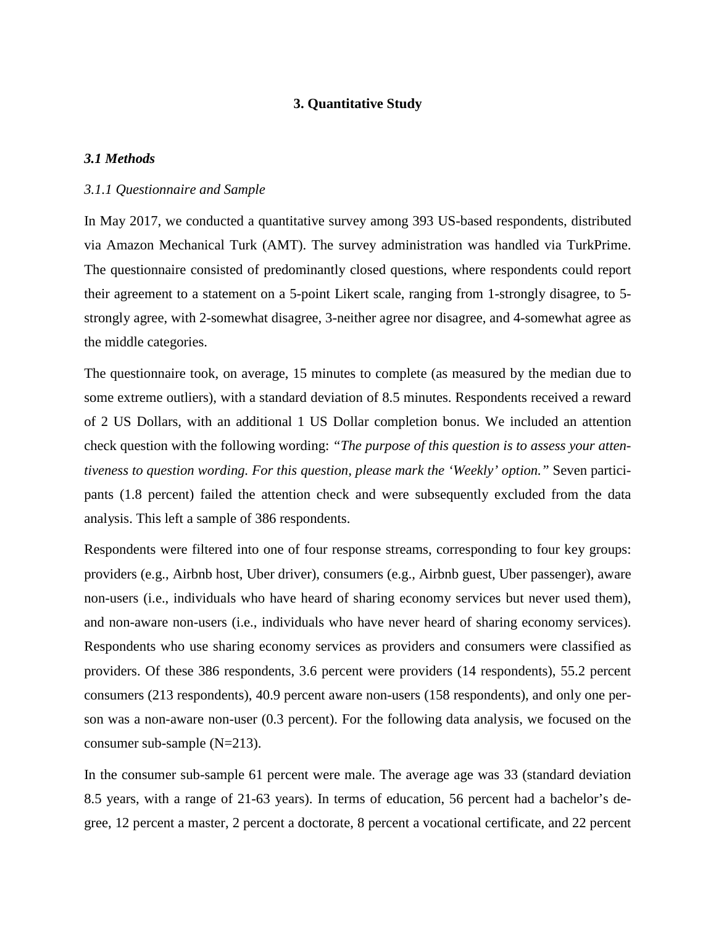### **3. Quantitative Study**

#### *3.1 Methods*

#### *3.1.1 Questionnaire and Sample*

In May 2017, we conducted a quantitative survey among 393 US-based respondents, distributed via Amazon Mechanical Turk (AMT). The survey administration was handled via TurkPrime. The questionnaire consisted of predominantly closed questions, where respondents could report their agreement to a statement on a 5-point Likert scale, ranging from 1-strongly disagree, to 5 strongly agree, with 2-somewhat disagree, 3-neither agree nor disagree, and 4-somewhat agree as the middle categories.

The questionnaire took, on average, 15 minutes to complete (as measured by the median due to some extreme outliers), with a standard deviation of 8.5 minutes. Respondents received a reward of 2 US Dollars, with an additional 1 US Dollar completion bonus. We included an attention check question with the following wording: *"The purpose of this question is to assess your attentiveness to question wording. For this question, please mark the 'Weekly' option."* Seven participants (1.8 percent) failed the attention check and were subsequently excluded from the data analysis. This left a sample of 386 respondents.

Respondents were filtered into one of four response streams, corresponding to four key groups: providers (e.g., Airbnb host, Uber driver), consumers (e.g., Airbnb guest, Uber passenger), aware non-users (i.e., individuals who have heard of sharing economy services but never used them), and non-aware non-users (i.e., individuals who have never heard of sharing economy services). Respondents who use sharing economy services as providers and consumers were classified as providers. Of these 386 respondents, 3.6 percent were providers (14 respondents), 55.2 percent consumers (213 respondents), 40.9 percent aware non-users (158 respondents), and only one person was a non-aware non-user (0.3 percent). For the following data analysis, we focused on the consumer sub-sample (N=213).

In the consumer sub-sample 61 percent were male. The average age was 33 (standard deviation 8.5 years, with a range of 21-63 years). In terms of education, 56 percent had a bachelor's degree, 12 percent a master, 2 percent a doctorate, 8 percent a vocational certificate, and 22 percent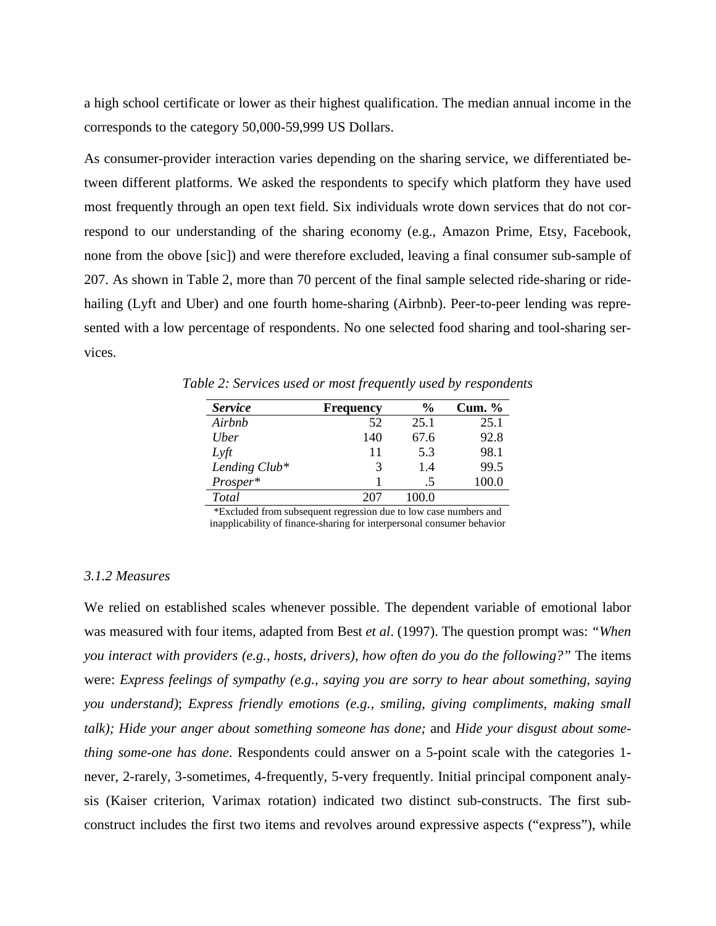a high school certificate or lower as their highest qualification. The median annual income in the corresponds to the category 50,000-59,999 US Dollars.

As consumer-provider interaction varies depending on the sharing service, we differentiated between different platforms. We asked the respondents to specify which platform they have used most frequently through an open text field. Six individuals wrote down services that do not correspond to our understanding of the sharing economy (e.g., Amazon Prime, Etsy, Facebook, none from the obove [sic]) and were therefore excluded, leaving a final consumer sub-sample of 207. As shown in Table 2, more than 70 percent of the final sample selected ride-sharing or ridehailing (Lyft and Uber) and one fourth home-sharing (Airbnb). Peer-to-peer lending was represented with a low percentage of respondents. No one selected food sharing and tool-sharing services.

*Table 2: Services used or most frequently used by respondents*

| <b>Service</b>   | Frequency | $\frac{6}{6}$ | Cum. $%$ |
|------------------|-----------|---------------|----------|
| Airbnb           | 52        | 25.1          | 25.1     |
| U <sub>ber</sub> | 140       | 67.6          | 92.8     |
| $L \nvert t$     | 11        | 5.3           | 98.1     |
| Lending Club*    | 3         | 14            | 99.5     |
| Prosper*         |           |               | 100.0    |
| Total            | 207       | 100.0         |          |

\*Excluded from subsequent regression due to low case numbers and inapplicability of finance-sharing for interpersonal consumer behavior

### *3.1.2 Measures*

We relied on established scales whenever possible. The dependent variable of emotional labor was measured with four items, adapted from Best *et al*. (1997). The question prompt was: *"When you interact with providers (e.g., hosts, drivers), how often do you do the following?"* The items were: *Express feelings of sympathy (e.g., saying you are sorry to hear about something, saying you understand)*; *Express friendly emotions (e.g., smiling, giving compliments, making small talk); Hide your anger about something someone has done;* and *Hide your disgust about something some-one has done.* Respondents could answer on a 5-point scale with the categories 1never, 2-rarely, 3-sometimes, 4-frequently, 5-very frequently. Initial principal component analysis (Kaiser criterion, Varimax rotation) indicated two distinct sub-constructs. The first subconstruct includes the first two items and revolves around expressive aspects ("express"), while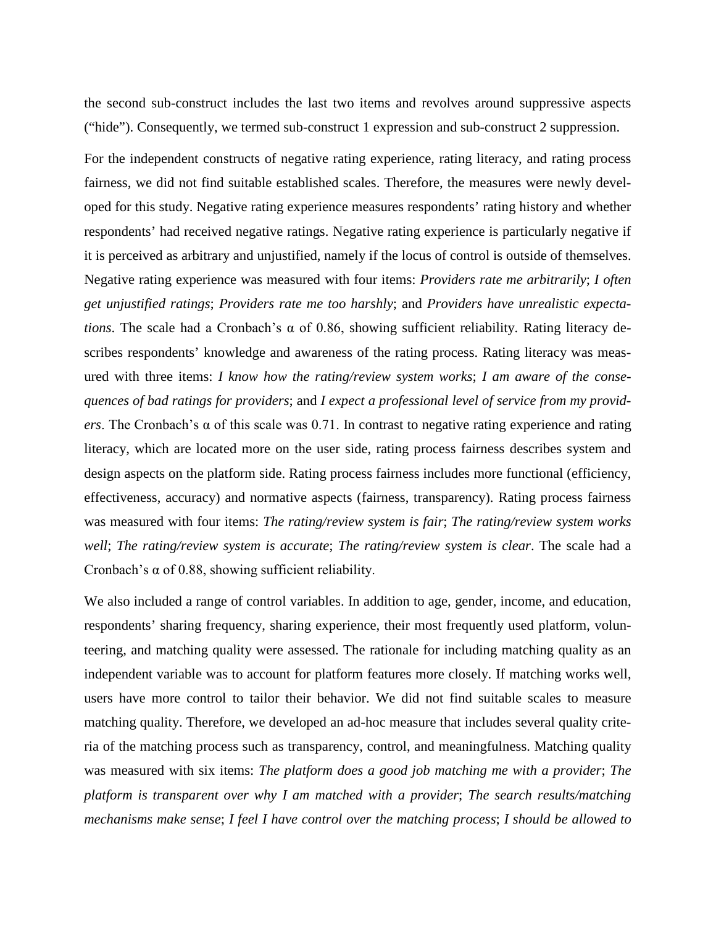the second sub-construct includes the last two items and revolves around suppressive aspects ("hide"). Consequently, we termed sub-construct 1 expression and sub-construct 2 suppression.

For the independent constructs of negative rating experience, rating literacy, and rating process fairness, we did not find suitable established scales. Therefore, the measures were newly developed for this study. Negative rating experience measures respondents' rating history and whether respondents' had received negative ratings. Negative rating experience is particularly negative if it is perceived as arbitrary and unjustified, namely if the locus of control is outside of themselves. Negative rating experience was measured with four items: *Providers rate me arbitrarily*; *I often get unjustified ratings*; *Providers rate me too harshly*; and *Providers have unrealistic expectations*. The scale had a Cronbach's α of 0.86, showing sufficient reliability. Rating literacy describes respondents' knowledge and awareness of the rating process. Rating literacy was measured with three items: *I know how the rating/review system works*; *I am aware of the consequences of bad ratings for providers*; and *I expect a professional level of service from my providers*. The Cronbach's α of this scale was 0.71. In contrast to negative rating experience and rating literacy, which are located more on the user side, rating process fairness describes system and design aspects on the platform side. Rating process fairness includes more functional (efficiency, effectiveness, accuracy) and normative aspects (fairness, transparency). Rating process fairness was measured with four items: *The rating/review system is fair*; *The rating/review system works well*; *The rating/review system is accurate*; *The rating/review system is clear*. The scale had a Cronbach's α of 0.88, showing sufficient reliability.

We also included a range of control variables. In addition to age, gender, income, and education, respondents' sharing frequency, sharing experience, their most frequently used platform, volunteering, and matching quality were assessed. The rationale for including matching quality as an independent variable was to account for platform features more closely. If matching works well, users have more control to tailor their behavior. We did not find suitable scales to measure matching quality. Therefore, we developed an ad-hoc measure that includes several quality criteria of the matching process such as transparency, control, and meaningfulness. Matching quality was measured with six items: *The platform does a good job matching me with a provider*; *The platform is transparent over why I am matched with a provider*; *The search results/matching mechanisms make sense*; *I feel I have control over the matching process*; *I should be allowed to*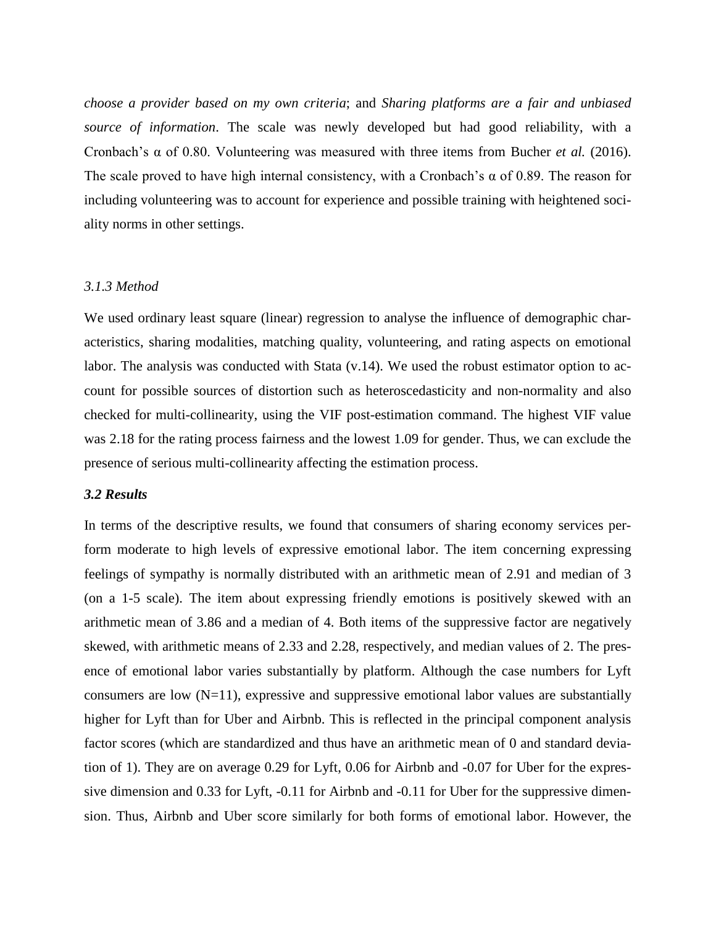*choose a provider based on my own criteria*; and *Sharing platforms are a fair and unbiased source of information*. The scale was newly developed but had good reliability, with a Cronbach's α of 0.80. Volunteering was measured with three items from Bucher *et al.* (2016). The scale proved to have high internal consistency, with a Cronbach's  $\alpha$  of 0.89. The reason for including volunteering was to account for experience and possible training with heightened sociality norms in other settings.

#### *3.1.3 Method*

We used ordinary least square (linear) regression to analyse the influence of demographic characteristics, sharing modalities, matching quality, volunteering, and rating aspects on emotional labor. The analysis was conducted with Stata (v.14). We used the robust estimator option to account for possible sources of distortion such as heteroscedasticity and non-normality and also checked for multi-collinearity, using the VIF post-estimation command. The highest VIF value was 2.18 for the rating process fairness and the lowest 1.09 for gender. Thus, we can exclude the presence of serious multi-collinearity affecting the estimation process.

### *3.2 Results*

In terms of the descriptive results, we found that consumers of sharing economy services perform moderate to high levels of expressive emotional labor. The item concerning expressing feelings of sympathy is normally distributed with an arithmetic mean of 2.91 and median of 3 (on a 1-5 scale). The item about expressing friendly emotions is positively skewed with an arithmetic mean of 3.86 and a median of 4. Both items of the suppressive factor are negatively skewed, with arithmetic means of 2.33 and 2.28, respectively, and median values of 2. The presence of emotional labor varies substantially by platform. Although the case numbers for Lyft consumers are low  $(N=11)$ , expressive and suppressive emotional labor values are substantially higher for Lyft than for Uber and Airbnb. This is reflected in the principal component analysis factor scores (which are standardized and thus have an arithmetic mean of 0 and standard deviation of 1). They are on average 0.29 for Lyft, 0.06 for Airbnb and -0.07 for Uber for the expressive dimension and 0.33 for Lyft, -0.11 for Airbnb and -0.11 for Uber for the suppressive dimension. Thus, Airbnb and Uber score similarly for both forms of emotional labor. However, the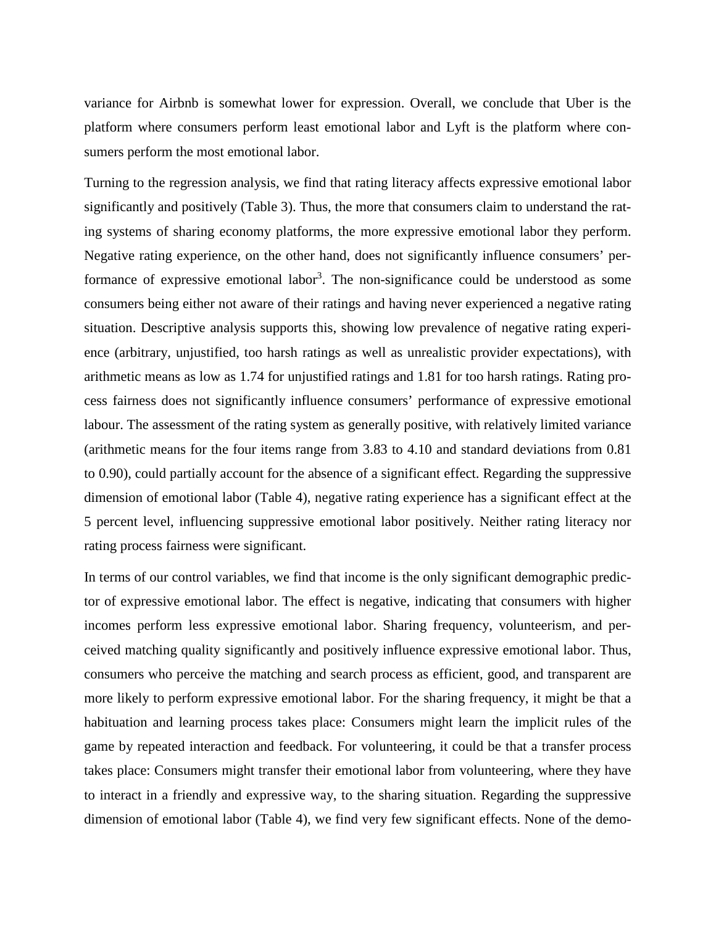variance for Airbnb is somewhat lower for expression. Overall, we conclude that Uber is the platform where consumers perform least emotional labor and Lyft is the platform where consumers perform the most emotional labor.

Turning to the regression analysis, we find that rating literacy affects expressive emotional labor significantly and positively (Table 3). Thus, the more that consumers claim to understand the rating systems of sharing economy platforms, the more expressive emotional labor they perform. Negative rating experience, on the other hand, does not significantly influence consumers' performance of expressive emotional labor<sup>3</sup>. The non-significance could be understood as some consumers being either not aware of their ratings and having never experienced a negative rating situation. Descriptive analysis supports this, showing low prevalence of negative rating experience (arbitrary, unjustified, too harsh ratings as well as unrealistic provider expectations), with arithmetic means as low as 1.74 for unjustified ratings and 1.81 for too harsh ratings. Rating process fairness does not significantly influence consumers' performance of expressive emotional labour. The assessment of the rating system as generally positive, with relatively limited variance (arithmetic means for the four items range from 3.83 to 4.10 and standard deviations from 0.81 to 0.90), could partially account for the absence of a significant effect. Regarding the suppressive dimension of emotional labor (Table 4), negative rating experience has a significant effect at the 5 percent level, influencing suppressive emotional labor positively. Neither rating literacy nor rating process fairness were significant.

In terms of our control variables, we find that income is the only significant demographic predictor of expressive emotional labor. The effect is negative, indicating that consumers with higher incomes perform less expressive emotional labor. Sharing frequency, volunteerism, and perceived matching quality significantly and positively influence expressive emotional labor. Thus, consumers who perceive the matching and search process as efficient, good, and transparent are more likely to perform expressive emotional labor. For the sharing frequency, it might be that a habituation and learning process takes place: Consumers might learn the implicit rules of the game by repeated interaction and feedback. For volunteering, it could be that a transfer process takes place: Consumers might transfer their emotional labor from volunteering, where they have to interact in a friendly and expressive way, to the sharing situation. Regarding the suppressive dimension of emotional labor (Table 4), we find very few significant effects. None of the demo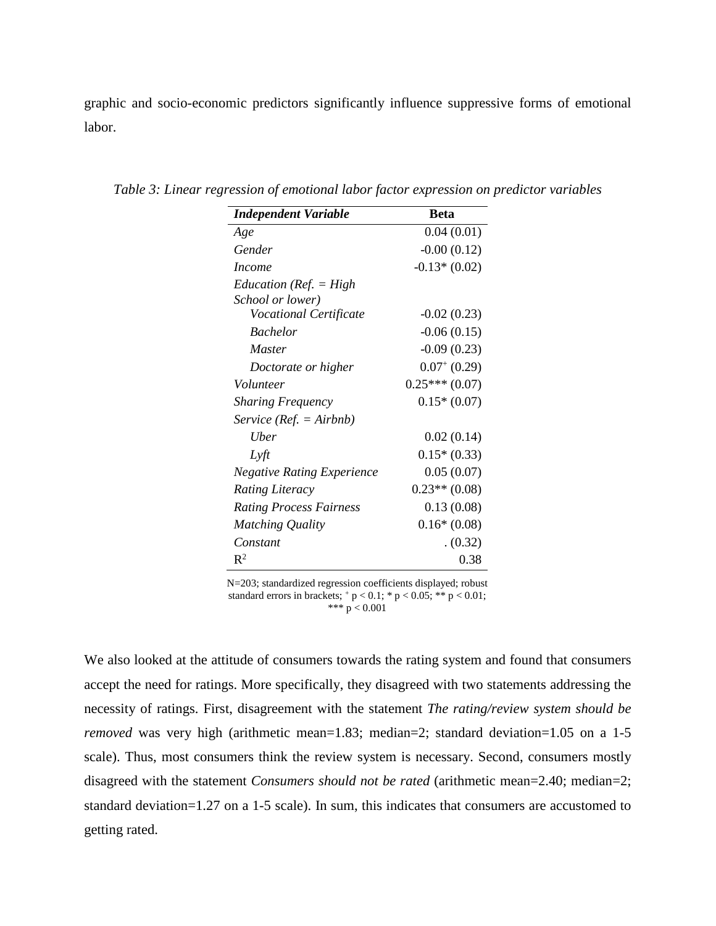graphic and socio-economic predictors significantly influence suppressive forms of emotional labor.

| <b>Independent Variable</b>       | <b>Beta</b>     |
|-----------------------------------|-----------------|
| Age                               | 0.04(0.01)      |
| Gender                            | $-0.00(0.12)$   |
| <i>Income</i>                     | $-0.13*(0.02)$  |
| Education ( $Ref. = High$         |                 |
| School or lower)                  |                 |
| Vocational Certificate            | $-0.02(0.23)$   |
| <b>Bachelor</b>                   | $-0.06(0.15)$   |
| <i>Master</i>                     | $-0.09(0.23)$   |
| Doctorate or higher               | $0.07^+(0.29)$  |
| Volunteer                         | $0.25***(0.07)$ |
| <b>Sharing Frequency</b>          | $0.15*(0.07)$   |
| Service ( $Ref. = Airbh$ )        |                 |
| Uber                              | 0.02(0.14)      |
| Lyft                              | $0.15*(0.33)$   |
| <b>Negative Rating Experience</b> | 0.05(0.07)      |
| <b>Rating Literacy</b>            | $0.23**$ (0.08) |
| <b>Rating Process Fairness</b>    | 0.13(0.08)      |
| Matching Quality                  | $0.16*(0.08)$   |
| Constant                          | (0.32)          |
| $\mathbb{R}^2$                    | 0.38            |

*Table 3: Linear regression of emotional labor factor expression on predictor variables*

N=203; standardized regression coefficients displayed; robust standard errors in brackets;  $+p < 0.1$ ;  $* p < 0.05$ ;  $** p < 0.01$ ; \*\*\*  $p < 0.001$ 

We also looked at the attitude of consumers towards the rating system and found that consumers accept the need for ratings. More specifically, they disagreed with two statements addressing the necessity of ratings. First, disagreement with the statement *The rating/review system should be removed* was very high (arithmetic mean=1.83; median=2; standard deviation=1.05 on a 1-5 scale). Thus, most consumers think the review system is necessary. Second, consumers mostly disagreed with the statement *Consumers should not be rated* (arithmetic mean=2.40; median=2; standard deviation=1.27 on a 1-5 scale). In sum, this indicates that consumers are accustomed to getting rated.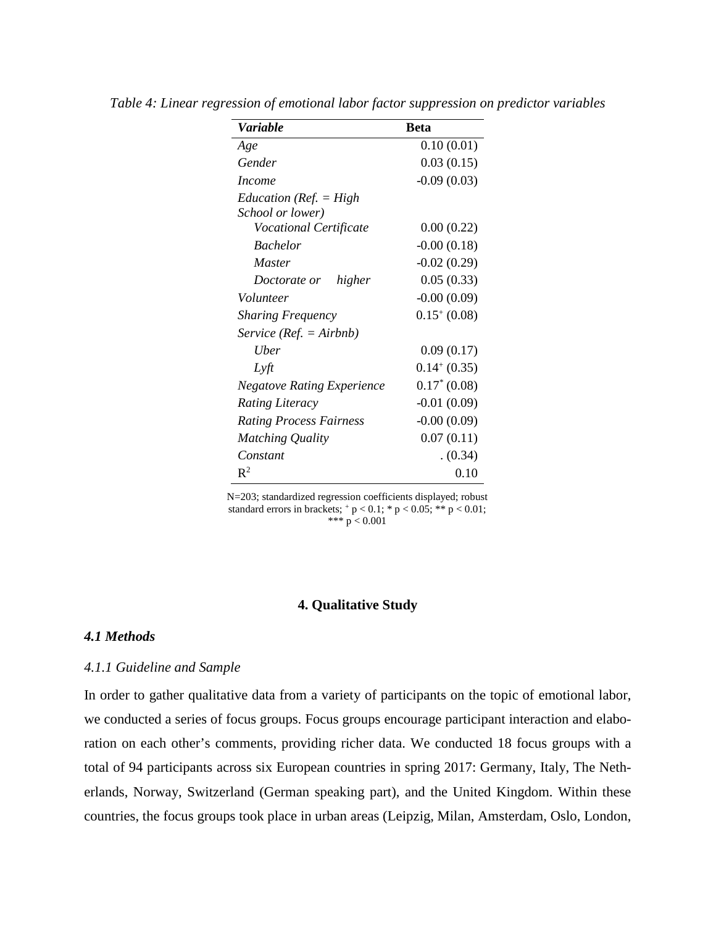| Variable                          | <b>Beta</b>      |
|-----------------------------------|------------------|
| Age                               | 0.10(0.01)       |
| Gender                            | 0.03(0.15)       |
| <i>Income</i>                     | $-0.09(0.03)$    |
| Education ( $Ref. = High$         |                  |
| School or lower)                  |                  |
| <b>Vocational Certificate</b>     | 0.00(0.22)       |
| <b>Bachelor</b>                   | $-0.00(0.18)$    |
| Master                            | $-0.02(0.29)$    |
| higher<br>Doctorate or            | 0.05(0.33)       |
| Volunteer                         | $-0.00(0.09)$    |
| <b>Sharing Frequency</b>          | $0.15^{+}(0.08)$ |
| $Service (Ref. = Airbnb)$         |                  |
| Uber                              | 0.09(0.17)       |
| Lyft                              | $0.14^{+}(0.35)$ |
| <b>Negatove Rating Experience</b> | $0.17^*(0.08)$   |
| <b>Rating Literacy</b>            | $-0.01(0.09)$    |
| <b>Rating Process Fairness</b>    | $-0.00(0.09)$    |
| Matching Quality                  | 0.07(0.11)       |
| Constant                          | (0.34)           |
| $\mathbf{R}^2$                    | 0.10             |

*Table 4: Linear regression of emotional labor factor suppression on predictor variables*

N=203; standardized regression coefficients displayed; robust standard errors in brackets;  $+p < 0.1$ ;  $\frac{*}{p} < 0.05$ ;  $\frac{**}{p} < 0.01$ ; \*\*\*  $p < 0.001$ 

### **4. Qualitative Study**

### *4.1 Methods*

#### *4.1.1 Guideline and Sample*

In order to gather qualitative data from a variety of participants on the topic of emotional labor, we conducted a series of focus groups. Focus groups encourage participant interaction and elaboration on each other's comments, providing richer data. We conducted 18 focus groups with a total of 94 participants across six European countries in spring 2017: Germany, Italy, The Netherlands, Norway, Switzerland (German speaking part), and the United Kingdom. Within these countries, the focus groups took place in urban areas (Leipzig, Milan, Amsterdam, Oslo, London,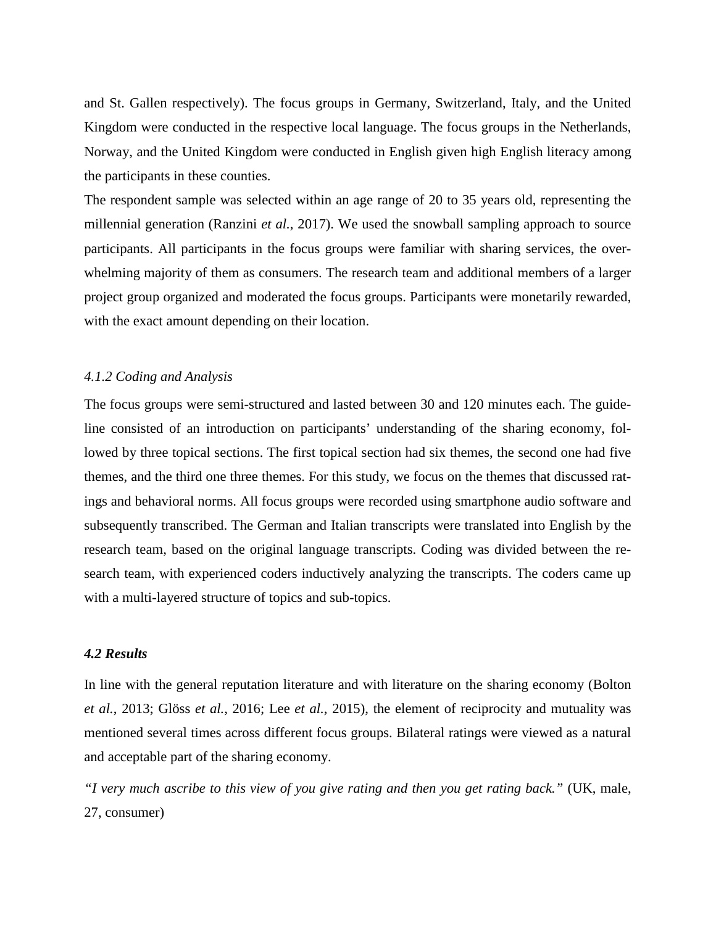and St. Gallen respectively). The focus groups in Germany, Switzerland, Italy, and the United Kingdom were conducted in the respective local language. The focus groups in the Netherlands, Norway, and the United Kingdom were conducted in English given high English literacy among the participants in these counties.

The respondent sample was selected within an age range of 20 to 35 years old, representing the millennial generation (Ranzini *et al.*, 2017). We used the snowball sampling approach to source participants. All participants in the focus groups were familiar with sharing services, the overwhelming majority of them as consumers. The research team and additional members of a larger project group organized and moderated the focus groups. Participants were monetarily rewarded, with the exact amount depending on their location.

#### *4.1.2 Coding and Analysis*

The focus groups were semi-structured and lasted between 30 and 120 minutes each. The guideline consisted of an introduction on participants' understanding of the sharing economy, followed by three topical sections. The first topical section had six themes, the second one had five themes, and the third one three themes. For this study, we focus on the themes that discussed ratings and behavioral norms. All focus groups were recorded using smartphone audio software and subsequently transcribed. The German and Italian transcripts were translated into English by the research team, based on the original language transcripts. Coding was divided between the research team, with experienced coders inductively analyzing the transcripts. The coders came up with a multi-layered structure of topics and sub-topics.

# *4.2 Results*

In line with the general reputation literature and with literature on the sharing economy (Bolton *et al.*, 2013; Glöss *et al.*, 2016; Lee *et al.*, 2015), the element of reciprocity and mutuality was mentioned several times across different focus groups. Bilateral ratings were viewed as a natural and acceptable part of the sharing economy.

*"I very much ascribe to this view of you give rating and then you get rating back."* (UK, male, 27, consumer)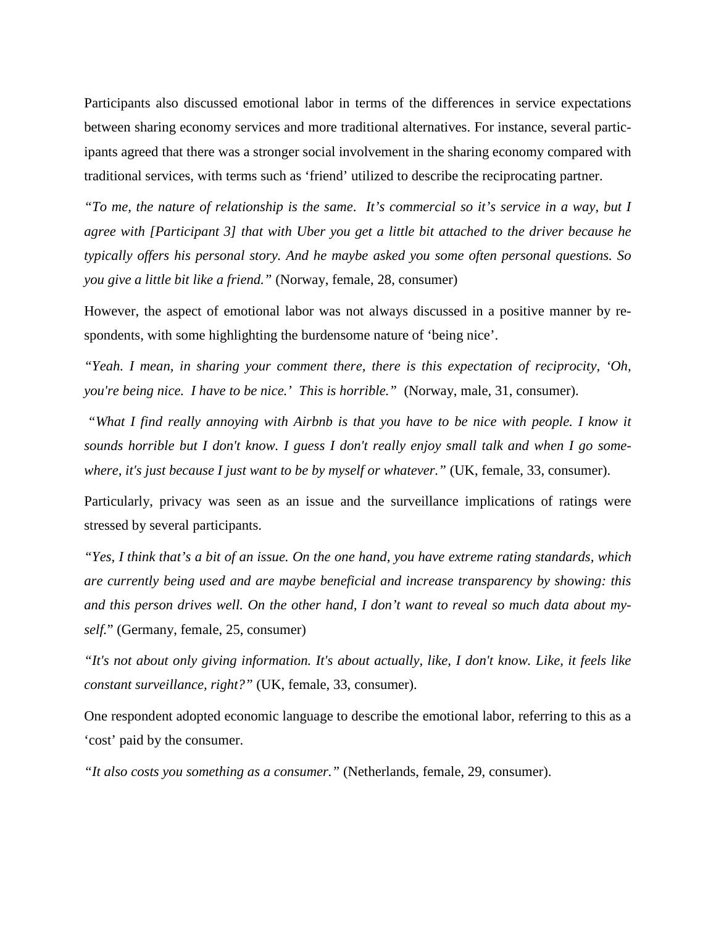Participants also discussed emotional labor in terms of the differences in service expectations between sharing economy services and more traditional alternatives. For instance, several participants agreed that there was a stronger social involvement in the sharing economy compared with traditional services, with terms such as 'friend' utilized to describe the reciprocating partner.

*"To me, the nature of relationship is the same*. *It's commercial so it's service in a way, but I agree with [Participant 3] that with Uber you get a little bit attached to the driver because he typically offers his personal story. And he maybe asked you some often personal questions. So you give a little bit like a friend."* (Norway, female, 28, consumer)

However, the aspect of emotional labor was not always discussed in a positive manner by respondents, with some highlighting the burdensome nature of 'being nice'.

*"Yeah. I mean, in sharing your comment there, there is this expectation of reciprocity, 'Oh, you're being nice. I have to be nice.' This is horrible."* (Norway, male, 31, consumer).

*"What I find really annoying with Airbnb is that you have to be nice with people. I know it sounds horrible but I don't know. I guess I don't really enjoy small talk and when I go somewhere, it's just because I just want to be by myself or whatever."* (UK, female, 33, consumer).

Particularly, privacy was seen as an issue and the surveillance implications of ratings were stressed by several participants.

*"Yes, I think that's a bit of an issue. On the one hand, you have extreme rating standards, which are currently being used and are maybe beneficial and increase transparency by showing: this and this person drives well. On the other hand, I don't want to reveal so much data about myself.*" (Germany, female, 25, consumer)

*"It's not about only giving information. It's about actually, like, I don't know. Like, it feels like constant surveillance, right?"* (UK, female, 33, consumer).

One respondent adopted economic language to describe the emotional labor, referring to this as a 'cost' paid by the consumer.

*"It also costs you something as a consumer."* (Netherlands, female, 29, consumer).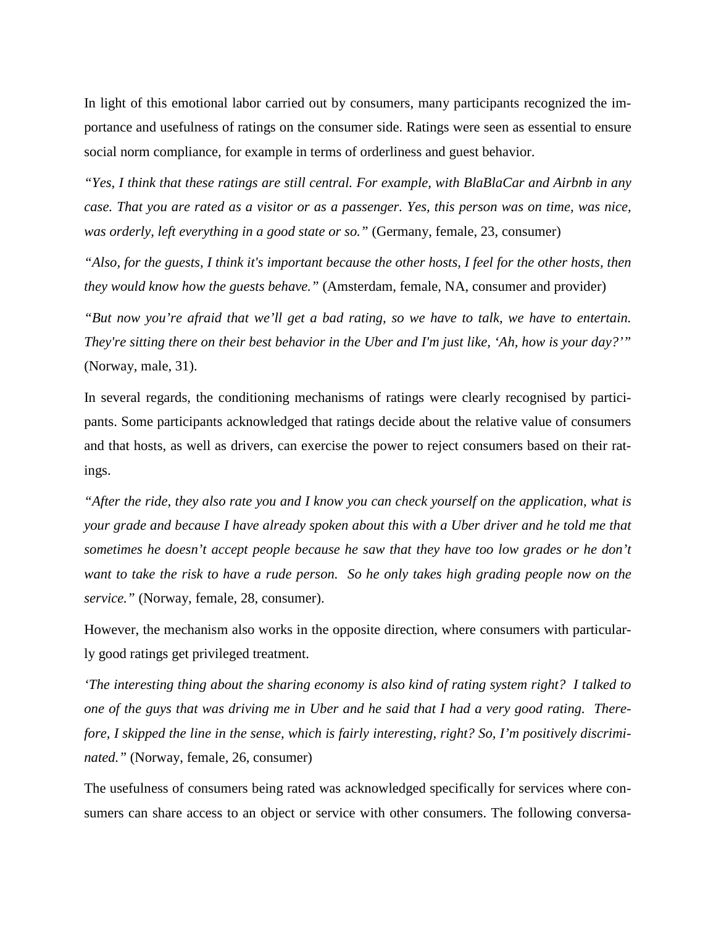In light of this emotional labor carried out by consumers, many participants recognized the importance and usefulness of ratings on the consumer side. Ratings were seen as essential to ensure social norm compliance, for example in terms of orderliness and guest behavior.

*"Yes, I think that these ratings are still central. For example, with BlaBlaCar and Airbnb in any case. That you are rated as a visitor or as a passenger. Yes, this person was on time, was nice, was orderly, left everything in a good state or so."* (Germany, female, 23, consumer)

*"Also, for the guests, I think it's important because the other hosts, I feel for the other hosts, then they would know how the guests behave."* (Amsterdam, female, NA, consumer and provider)

*"But now you're afraid that we'll get a bad rating, so we have to talk, we have to entertain. They're sitting there on their best behavior in the Uber and I'm just like, 'Ah, how is your day?'"* (Norway, male, 31).

In several regards, the conditioning mechanisms of ratings were clearly recognised by participants. Some participants acknowledged that ratings decide about the relative value of consumers and that hosts, as well as drivers, can exercise the power to reject consumers based on their ratings.

*"After the ride, they also rate you and I know you can check yourself on the application, what is your grade and because I have already spoken about this with a Uber driver and he told me that sometimes he doesn't accept people because he saw that they have too low grades or he don't want to take the risk to have a rude person. So he only takes high grading people now on the service."* (Norway, female, 28, consumer).

However, the mechanism also works in the opposite direction, where consumers with particularly good ratings get privileged treatment.

*'The interesting thing about the sharing economy is also kind of rating system right? I talked to one of the guys that was driving me in Uber and he said that I had a very good rating. Therefore, I skipped the line in the sense, which is fairly interesting, right? So, I'm positively discriminated."* (Norway, female, 26, consumer)

The usefulness of consumers being rated was acknowledged specifically for services where consumers can share access to an object or service with other consumers. The following conversa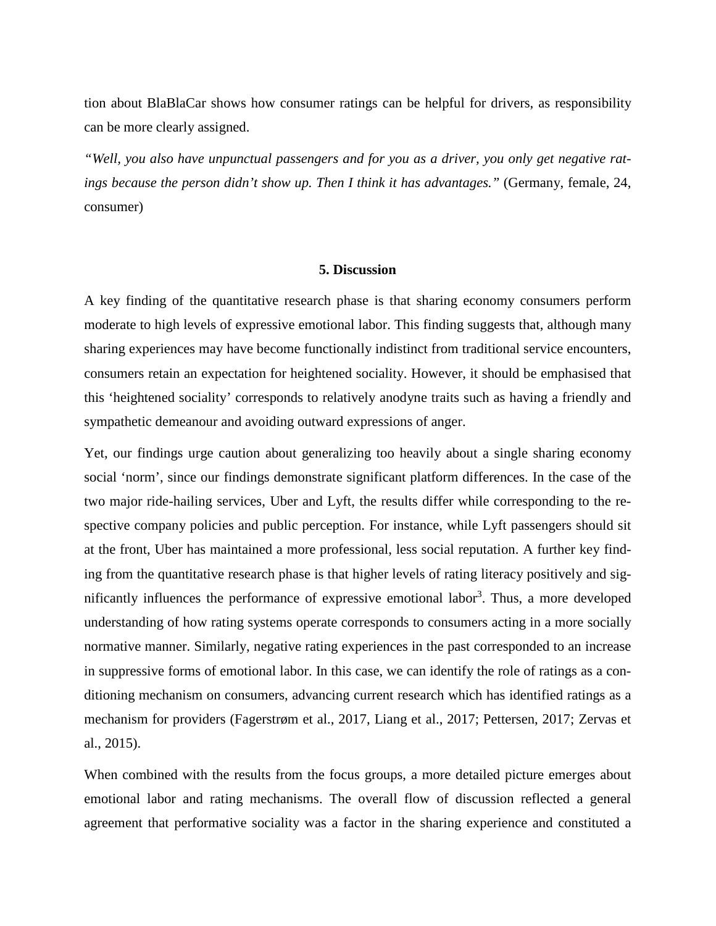tion about BlaBlaCar shows how consumer ratings can be helpful for drivers, as responsibility can be more clearly assigned.

*"Well, you also have unpunctual passengers and for you as a driver, you only get negative ratings because the person didn't show up. Then I think it has advantages."* (Germany, female, 24, consumer)

### **5. Discussion**

A key finding of the quantitative research phase is that sharing economy consumers perform moderate to high levels of expressive emotional labor. This finding suggests that, although many sharing experiences may have become functionally indistinct from traditional service encounters, consumers retain an expectation for heightened sociality. However, it should be emphasised that this 'heightened sociality' corresponds to relatively anodyne traits such as having a friendly and sympathetic demeanour and avoiding outward expressions of anger.

Yet, our findings urge caution about generalizing too heavily about a single sharing economy social 'norm', since our findings demonstrate significant platform differences. In the case of the two major ride-hailing services, Uber and Lyft, the results differ while corresponding to the respective company policies and public perception. For instance, while Lyft passengers should sit at the front, Uber has maintained a more professional, less social reputation. A further key finding from the quantitative research phase is that higher levels of rating literacy positively and significantly influences the performance of expressive emotional labor<sup>3</sup>. Thus, a more developed understanding of how rating systems operate corresponds to consumers acting in a more socially normative manner. Similarly, negative rating experiences in the past corresponded to an increase in suppressive forms of emotional labor. In this case, we can identify the role of ratings as a conditioning mechanism on consumers, advancing current research which has identified ratings as a mechanism for providers (Fagerstrøm et al., 2017, Liang et al., 2017; Pettersen, 2017; Zervas et al., 2015).

When combined with the results from the focus groups, a more detailed picture emerges about emotional labor and rating mechanisms. The overall flow of discussion reflected a general agreement that performative sociality was a factor in the sharing experience and constituted a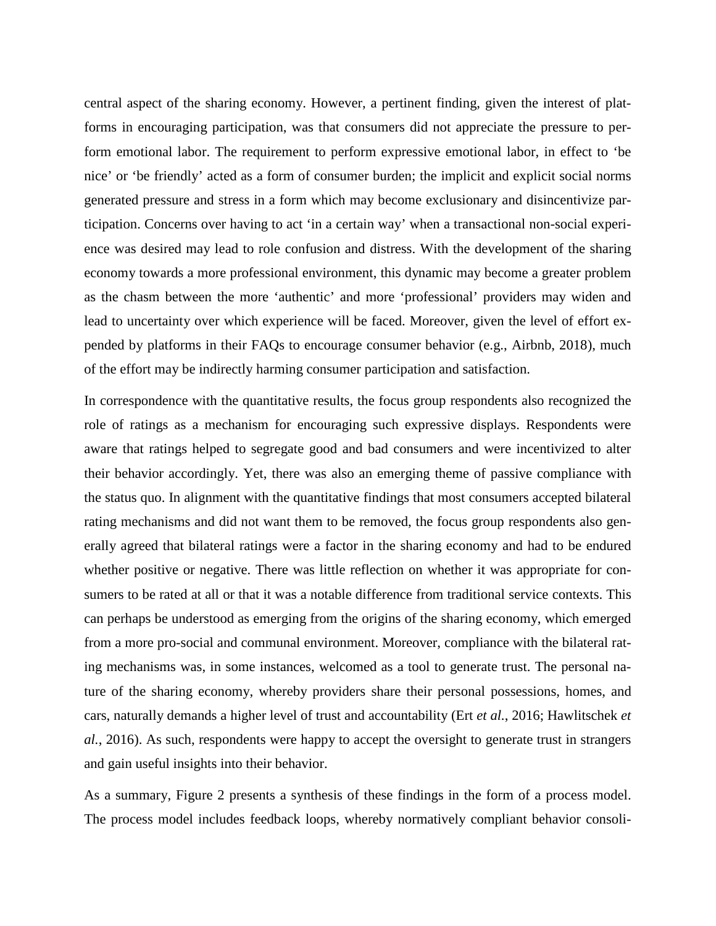central aspect of the sharing economy. However, a pertinent finding, given the interest of platforms in encouraging participation, was that consumers did not appreciate the pressure to perform emotional labor. The requirement to perform expressive emotional labor, in effect to 'be nice' or 'be friendly' acted as a form of consumer burden; the implicit and explicit social norms generated pressure and stress in a form which may become exclusionary and disincentivize participation. Concerns over having to act 'in a certain way' when a transactional non-social experience was desired may lead to role confusion and distress. With the development of the sharing economy towards a more professional environment, this dynamic may become a greater problem as the chasm between the more 'authentic' and more 'professional' providers may widen and lead to uncertainty over which experience will be faced. Moreover, given the level of effort expended by platforms in their FAQs to encourage consumer behavior (e.g., Airbnb, 2018), much of the effort may be indirectly harming consumer participation and satisfaction.

In correspondence with the quantitative results, the focus group respondents also recognized the role of ratings as a mechanism for encouraging such expressive displays. Respondents were aware that ratings helped to segregate good and bad consumers and were incentivized to alter their behavior accordingly. Yet, there was also an emerging theme of passive compliance with the status quo. In alignment with the quantitative findings that most consumers accepted bilateral rating mechanisms and did not want them to be removed, the focus group respondents also generally agreed that bilateral ratings were a factor in the sharing economy and had to be endured whether positive or negative. There was little reflection on whether it was appropriate for consumers to be rated at all or that it was a notable difference from traditional service contexts. This can perhaps be understood as emerging from the origins of the sharing economy, which emerged from a more pro-social and communal environment. Moreover, compliance with the bilateral rating mechanisms was, in some instances, welcomed as a tool to generate trust. The personal nature of the sharing economy, whereby providers share their personal possessions, homes, and cars, naturally demands a higher level of trust and accountability (Ert *et al.*, 2016; Hawlitschek *et al.*, 2016). As such, respondents were happy to accept the oversight to generate trust in strangers and gain useful insights into their behavior.

As a summary, Figure 2 presents a synthesis of these findings in the form of a process model. The process model includes feedback loops, whereby normatively compliant behavior consoli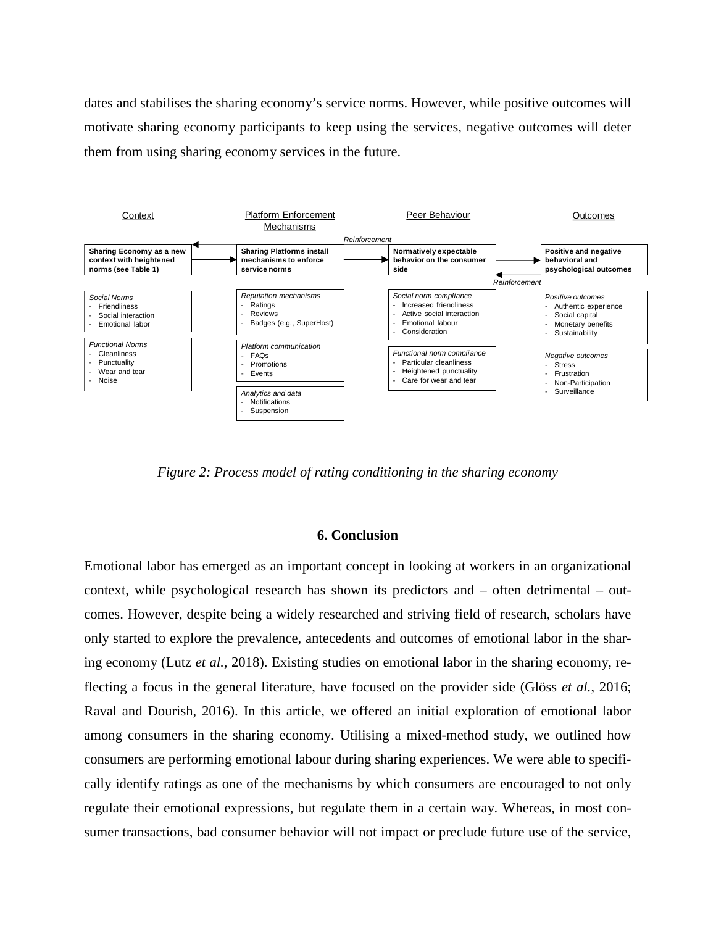dates and stabilises the sharing economy's service norms. However, while positive outcomes will motivate sharing economy participants to keep using the services, negative outcomes will deter them from using sharing economy services in the future.



*Figure 2: Process model of rating conditioning in the sharing economy*

#### **6. Conclusion**

Emotional labor has emerged as an important concept in looking at workers in an organizational context, while psychological research has shown its predictors and – often detrimental – outcomes. However, despite being a widely researched and striving field of research, scholars have only started to explore the prevalence, antecedents and outcomes of emotional labor in the sharing economy (Lutz *et al.*, 2018). Existing studies on emotional labor in the sharing economy, reflecting a focus in the general literature, have focused on the provider side (Glöss *et al.*, 2016; Raval and Dourish, 2016). In this article, we offered an initial exploration of emotional labor among consumers in the sharing economy. Utilising a mixed-method study, we outlined how consumers are performing emotional labour during sharing experiences. We were able to specifically identify ratings as one of the mechanisms by which consumers are encouraged to not only regulate their emotional expressions, but regulate them in a certain way. Whereas, in most consumer transactions, bad consumer behavior will not impact or preclude future use of the service,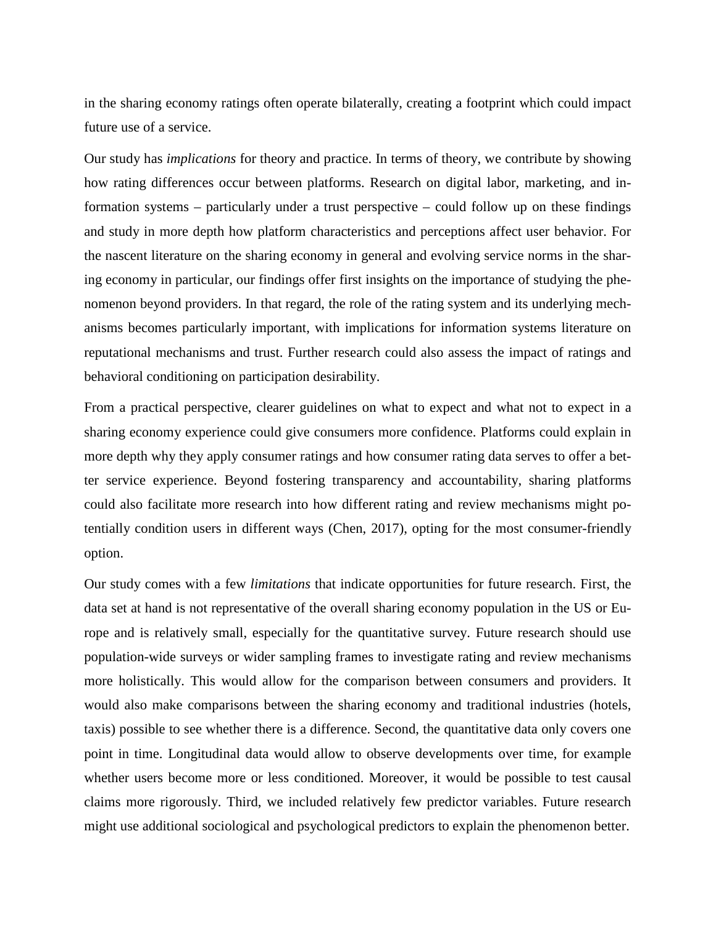in the sharing economy ratings often operate bilaterally, creating a footprint which could impact future use of a service.

Our study has *implications* for theory and practice. In terms of theory, we contribute by showing how rating differences occur between platforms. Research on digital labor, marketing, and information systems – particularly under a trust perspective – could follow up on these findings and study in more depth how platform characteristics and perceptions affect user behavior. For the nascent literature on the sharing economy in general and evolving service norms in the sharing economy in particular, our findings offer first insights on the importance of studying the phenomenon beyond providers. In that regard, the role of the rating system and its underlying mechanisms becomes particularly important, with implications for information systems literature on reputational mechanisms and trust. Further research could also assess the impact of ratings and behavioral conditioning on participation desirability.

From a practical perspective, clearer guidelines on what to expect and what not to expect in a sharing economy experience could give consumers more confidence. Platforms could explain in more depth why they apply consumer ratings and how consumer rating data serves to offer a better service experience. Beyond fostering transparency and accountability, sharing platforms could also facilitate more research into how different rating and review mechanisms might potentially condition users in different ways (Chen, 2017), opting for the most consumer-friendly option.

Our study comes with a few *limitations* that indicate opportunities for future research. First, the data set at hand is not representative of the overall sharing economy population in the US or Europe and is relatively small, especially for the quantitative survey. Future research should use population-wide surveys or wider sampling frames to investigate rating and review mechanisms more holistically. This would allow for the comparison between consumers and providers. It would also make comparisons between the sharing economy and traditional industries (hotels, taxis) possible to see whether there is a difference. Second, the quantitative data only covers one point in time. Longitudinal data would allow to observe developments over time, for example whether users become more or less conditioned. Moreover, it would be possible to test causal claims more rigorously. Third, we included relatively few predictor variables. Future research might use additional sociological and psychological predictors to explain the phenomenon better.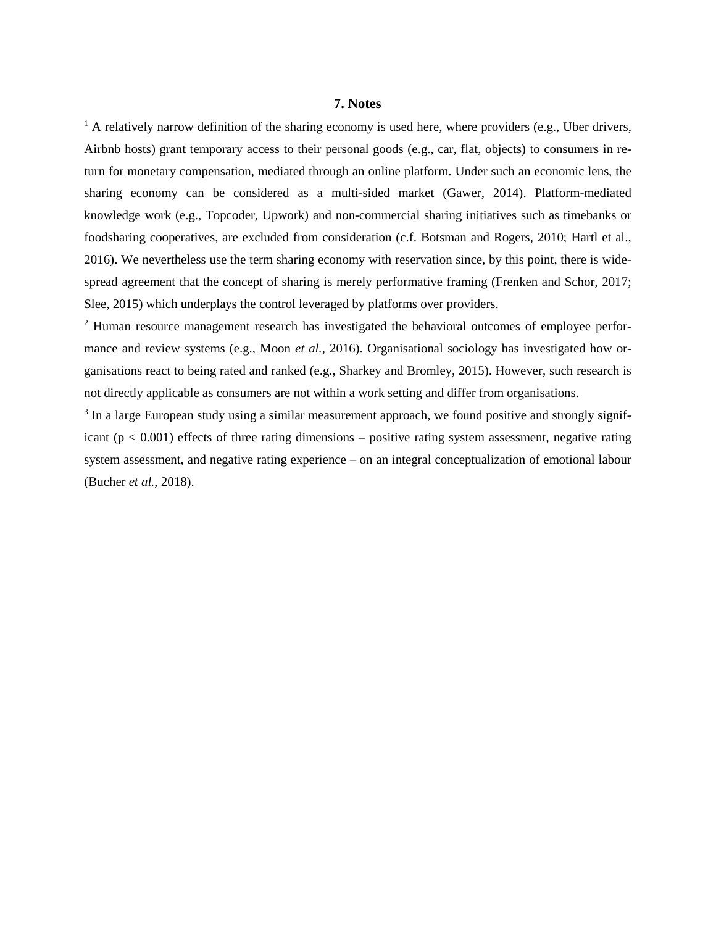### **7. Notes**

 $1$  A relatively narrow definition of the sharing economy is used here, where providers (e.g., Uber drivers, Airbnb hosts) grant temporary access to their personal goods (e.g., car, flat, objects) to consumers in return for monetary compensation, mediated through an online platform. Under such an economic lens, the sharing economy can be considered as a multi-sided market (Gawer, 2014). Platform-mediated knowledge work (e.g., Topcoder, Upwork) and non-commercial sharing initiatives such as timebanks or foodsharing cooperatives, are excluded from consideration (c.f. Botsman and Rogers, 2010; Hartl et al., 2016). We nevertheless use the term sharing economy with reservation since, by this point, there is widespread agreement that the concept of sharing is merely performative framing (Frenken and Schor, 2017; Slee, 2015) which underplays the control leveraged by platforms over providers.

<sup>2</sup> Human resource management research has investigated the behavioral outcomes of employee performance and review systems (e.g., Moon *et al.*, 2016). Organisational sociology has investigated how organisations react to being rated and ranked (e.g., Sharkey and Bromley, 2015). However, such research is not directly applicable as consumers are not within a work setting and differ from organisations.

<sup>3</sup> In a large European study using a similar measurement approach, we found positive and strongly significant ( $p < 0.001$ ) effects of three rating dimensions – positive rating system assessment, negative rating system assessment, and negative rating experience – on an integral conceptualization of emotional labour (Bucher *et al.*, 2018).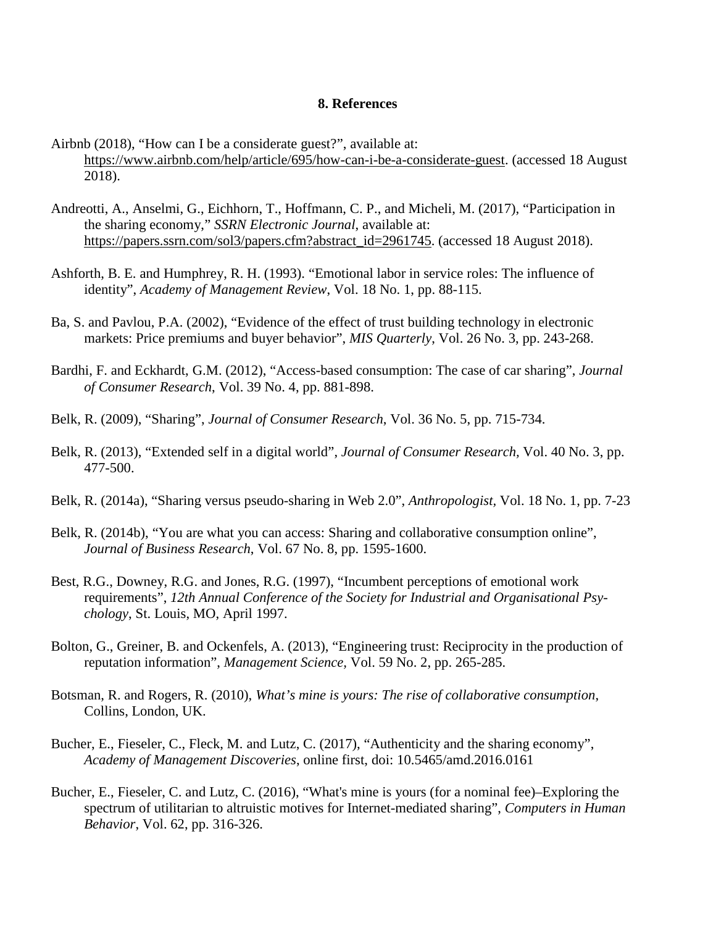# **8. References**

- Airbnb (2018), "How can I be a considerate guest?", available at: [https://www.airbnb.com/help/article/695/how-can-i-be-a-considerate-guest.](https://www.airbnb.com/help/article/695/how-can-i-be-a-considerate-guest) (accessed 18 August 2018).
- Andreotti, A., Anselmi, G., Eichhorn, T., Hoffmann, C. P., and Micheli, M. (2017), "Participation in the sharing economy," *SSRN Electronic Journal*, available at: [https://papers.ssrn.com/sol3/papers.cfm?abstract\\_id=2961745.](https://papers.ssrn.com/sol3/papers.cfm?abstract_id=2961745) (accessed 18 August 2018).
- Ashforth, B. E. and Humphrey, R. H. (1993). "Emotional labor in service roles: The influence of identity", *Academy of Management Review*, Vol. 18 No. 1, pp. 88-115.
- Ba, S. and Pavlou, P.A. (2002), "Evidence of the effect of trust building technology in electronic markets: Price premiums and buyer behavior", *MIS Quarterly*, Vol. 26 No. 3, pp. 243-268.
- Bardhi, F. and Eckhardt, G.M. (2012), "Access-based consumption: The case of car sharing", *Journal of Consumer Research*, Vol. 39 No. 4, pp. 881-898.
- Belk, R. (2009), "Sharing", *Journal of Consumer Research*, Vol. 36 No. 5, pp. 715-734.
- Belk, R. (2013), "Extended self in a digital world", *Journal of Consumer Research,* Vol. 40 No. 3, pp. 477-500.
- Belk, R. (2014a), "Sharing versus pseudo-sharing in Web 2.0", *Anthropologist,* Vol. 18 No. 1, pp. 7-23
- Belk, R. (2014b), "You are what you can access: Sharing and collaborative consumption online", *Journal of Business Research*, Vol. 67 No. 8, pp. 1595-1600.
- Best, R.G., Downey, R.G. and Jones, R.G. (1997), "Incumbent perceptions of emotional work requirements", *12th Annual Conference of the Society for Industrial and Organisational Psychology*, St. Louis, MO, April 1997.
- Bolton, G., Greiner, B. and Ockenfels, A. (2013), "Engineering trust: Reciprocity in the production of reputation information", *Management Science,* Vol. 59 No. 2, pp. 265-285.
- Botsman, R. and Rogers, R. (2010), *What's mine is yours: The rise of collaborative consumption*, Collins, London, UK.
- Bucher, E., Fieseler, C., Fleck, M. and Lutz, C. (2017), "Authenticity and the sharing economy", *Academy of Management Discoveries*, online first, doi: 10.5465/amd.2016.0161
- Bucher, E., Fieseler, C. and Lutz, C. (2016), "What's mine is yours (for a nominal fee)–Exploring the spectrum of utilitarian to altruistic motives for Internet-mediated sharing", *Computers in Human Behavior*, Vol. 62, pp. 316-326.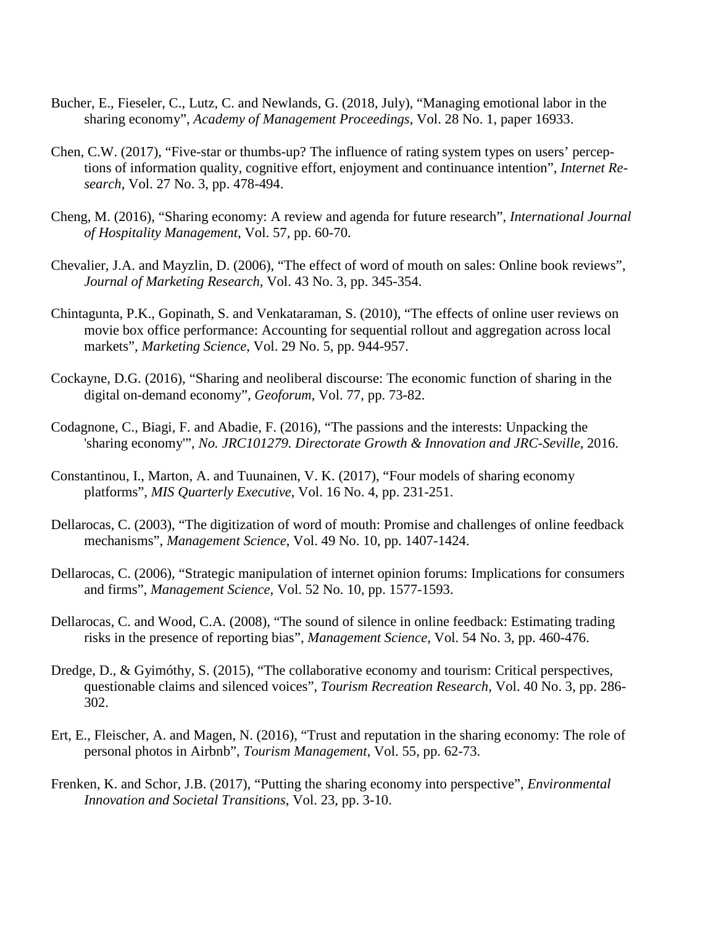- Bucher, E., Fieseler, C., Lutz, C. and Newlands, G. (2018, July), "Managing emotional labor in the sharing economy", *Academy of Management Proceedings*, Vol. 28 No. 1, paper 16933.
- Chen, C.W. (2017), "Five-star or thumbs-up? The influence of rating system types on users' perceptions of information quality, cognitive effort, enjoyment and continuance intention", *Internet Research*, Vol. 27 No. 3, pp. 478-494.
- Cheng, M. (2016), "Sharing economy: A review and agenda for future research", *International Journal of Hospitality Management*, Vol. 57, pp. 60-70.
- Chevalier, J.A. and Mayzlin, D. (2006), "The effect of word of mouth on sales: Online book reviews", *Journal of Marketing Research*, Vol. 43 No. 3, pp. 345-354.
- Chintagunta, P.K., Gopinath, S. and Venkataraman, S. (2010), "The effects of online user reviews on movie box office performance: Accounting for sequential rollout and aggregation across local markets", *Marketing Science*, Vol. 29 No. 5, pp. 944-957.
- Cockayne, D.G. (2016), "Sharing and neoliberal discourse: The economic function of sharing in the digital on-demand economy", *Geoforum*, Vol. 77, pp. 73-82.
- Codagnone, C., Biagi, F. and Abadie, F. (2016), "The passions and the interests: Unpacking the 'sharing economy'", *No. JRC101279. Directorate Growth & Innovation and JRC-Seville*, 2016.
- Constantinou, I., Marton, A. and Tuunainen, V. K. (2017), "Four models of sharing economy platforms", *MIS Quarterly Executive*, Vol. 16 No. 4, pp. 231-251.
- Dellarocas, C. (2003), "The digitization of word of mouth: Promise and challenges of online feedback mechanisms", *Management Science*, Vol. 49 No. 10, pp. 1407-1424.
- Dellarocas, C. (2006), "Strategic manipulation of internet opinion forums: Implications for consumers and firms", *Management Science,* Vol. 52 No. 10, pp. 1577-1593.
- Dellarocas, C. and Wood, C.A. (2008), "The sound of silence in online feedback: Estimating trading risks in the presence of reporting bias", *Management Science,* Vol. 54 No. 3, pp. 460-476.
- Dredge, D., & Gyimóthy, S. (2015), "The collaborative economy and tourism: Critical perspectives, questionable claims and silenced voices", *Tourism Recreation Research*, Vol. 40 No. 3, pp. 286- 302.
- Ert, E., Fleischer, A. and Magen, N. (2016), "Trust and reputation in the sharing economy: The role of personal photos in Airbnb", *Tourism Management*, Vol. 55, pp. 62-73.
- Frenken, K. and Schor, J.B. (2017), "Putting the sharing economy into perspective", *Environmental Innovation and Societal Transitions*, Vol. 23, pp. 3-10.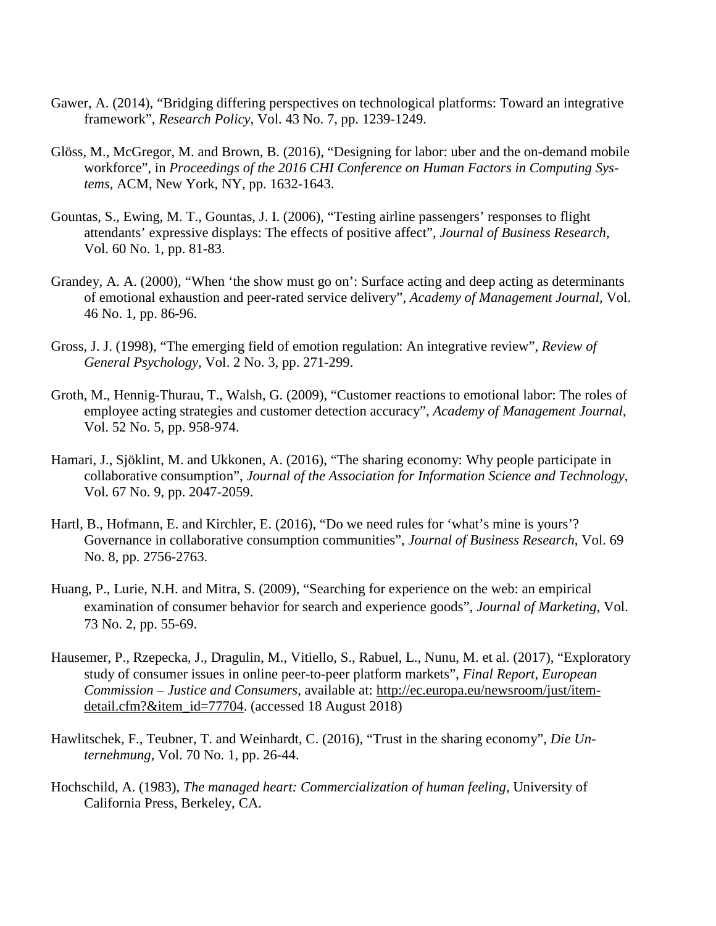- Gawer, A. (2014), "Bridging differing perspectives on technological platforms: Toward an integrative framework", *Research Policy*, Vol. 43 No. 7, pp. 1239-1249.
- Glöss, M., McGregor, M. and Brown, B. (2016), "Designing for labor: uber and the on-demand mobile workforce", in *Proceedings of the 2016 CHI Conference on Human Factors in Computing Systems,* ACM, New York, NY, pp. 1632-1643.
- Gountas, S., Ewing, M. T., Gountas, J. I. (2006), "Testing airline passengers' responses to flight attendants' expressive displays: The effects of positive affect", *Journal of Business Research,* Vol. 60 No. 1, pp. 81-83.
- Grandey, A. A. (2000), "When 'the show must go on': Surface acting and deep acting as determinants of emotional exhaustion and peer-rated service delivery", *Academy of Management Journal,* Vol. 46 No. 1, pp. 86-96.
- Gross, J. J. (1998), "The emerging field of emotion regulation: An integrative review", *Review of General Psychology,* Vol. 2 No. 3, pp. 271-299.
- Groth, M., Hennig-Thurau, T., Walsh, G. (2009), "Customer reactions to emotional labor: The roles of employee acting strategies and customer detection accuracy", *Academy of Management Journal*, Vol. 52 No. 5, pp. 958-974.
- Hamari, J., Sjöklint, M. and Ukkonen, A. (2016), "The sharing economy: Why people participate in collaborative consumption", *Journal of the Association for Information Science and Technology*, Vol. 67 No. 9, pp. 2047-2059.
- Hartl, B., Hofmann, E. and Kirchler, E. (2016), "Do we need rules for 'what's mine is yours'? Governance in collaborative consumption communities", *Journal of Business Research*, Vol. 69 No. 8, pp. 2756-2763.
- Huang, P., Lurie, N.H. and Mitra, S. (2009), "Searching for experience on the web: an empirical examination of consumer behavior for search and experience goods", *Journal of Marketing*, Vol. 73 No. 2, pp. 55-69.
- Hausemer, P., Rzepecka, J., Dragulin, M., Vitiello, S., Rabuel, L., Nunu, M. et al. (2017), "Exploratory study of consumer issues in online peer-to-peer platform markets", *Final Report, European Commission – Justice and Consumers*, available at: [http://ec.europa.eu/newsroom/just/item](http://ec.europa.eu/newsroom/just/item-detail.cfm?&item_id=77704)[detail.cfm?&item\\_id=77704.](http://ec.europa.eu/newsroom/just/item-detail.cfm?&item_id=77704) (accessed 18 August 2018)
- Hawlitschek, F., Teubner, T. and Weinhardt, C. (2016), "Trust in the sharing economy", *Die Unternehmung*, Vol. 70 No. 1, pp. 26-44.
- Hochschild, A. (1983), *The managed heart: Commercialization of human feeling*, University of California Press, Berkeley, CA.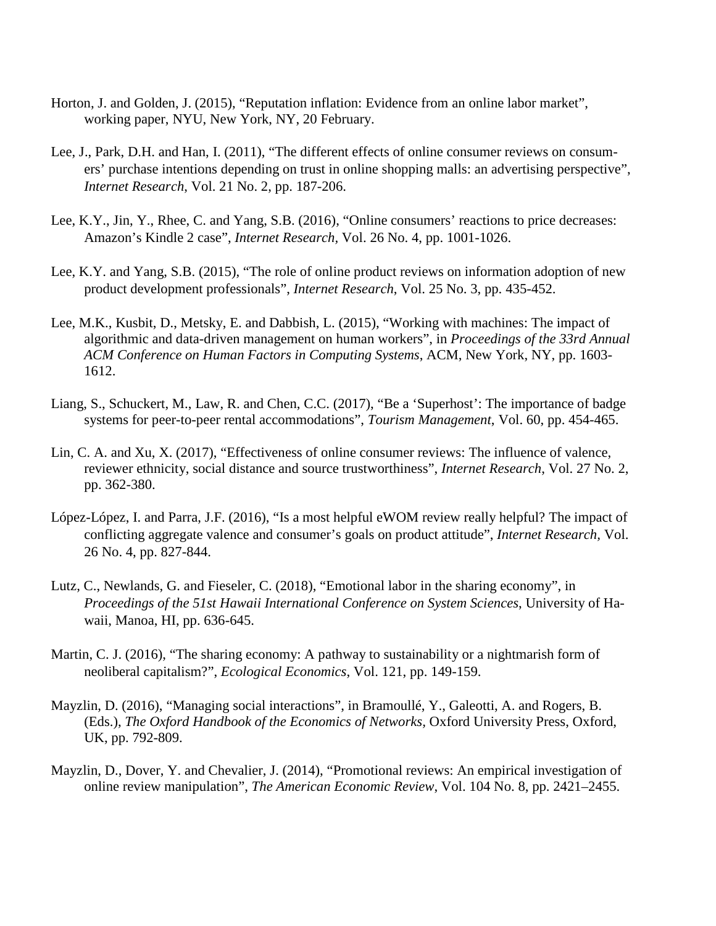- Horton, J. and Golden, J. (2015), "Reputation inflation: Evidence from an online labor market", working paper, NYU, New York, NY, 20 February.
- Lee, J., Park, D.H. and Han, I. (2011), "The different effects of online consumer reviews on consumers' purchase intentions depending on trust in online shopping malls: an advertising perspective", *Internet Research*, Vol. 21 No. 2, pp. 187-206.
- Lee, K.Y., Jin, Y., Rhee, C. and Yang, S.B. (2016), "Online consumers' reactions to price decreases: Amazon's Kindle 2 case", *Internet Research,* Vol. 26 No. 4, pp. 1001-1026.
- Lee, K.Y. and Yang, S.B. (2015), "The role of online product reviews on information adoption of new product development professionals", *Internet Research*, Vol. 25 No. 3, pp. 435-452.
- Lee, M.K., Kusbit, D., Metsky, E. and Dabbish, L. (2015), "Working with machines: The impact of algorithmic and data-driven management on human workers", in *Proceedings of the 33rd Annual ACM Conference on Human Factors in Computing Systems*, ACM, New York, NY, pp. 1603- 1612.
- Liang, S., Schuckert, M., Law, R. and Chen, C.C. (2017), "Be a 'Superhost': The importance of badge systems for peer-to-peer rental accommodations", *Tourism Management*, Vol. 60, pp. 454-465.
- Lin, C. A. and Xu, X. (2017), "Effectiveness of online consumer reviews: The influence of valence, reviewer ethnicity, social distance and source trustworthiness", *Internet Research*, Vol. 27 No. 2, pp. 362-380.
- López-López, I. and Parra, J.F. (2016), "Is a most helpful eWOM review really helpful? The impact of conflicting aggregate valence and consumer's goals on product attitude", *Internet Research,* Vol. 26 No. 4, pp. 827-844.
- Lutz, C., Newlands, G. and Fieseler, C. (2018), "Emotional labor in the sharing economy", in *Proceedings of the 51st Hawaii International Conference on System Sciences*, University of Hawaii, Manoa, HI, pp. 636-645.
- Martin, C. J. (2016), "The sharing economy: A pathway to sustainability or a nightmarish form of neoliberal capitalism?", *Ecological Economics*, Vol. 121, pp. 149-159.
- Mayzlin, D. (2016), "Managing social interactions", in Bramoullé, Y., Galeotti, A. and Rogers, B. (Eds.), *The Oxford Handbook of the Economics of Networks,* Oxford University Press, Oxford, UK, pp. 792-809.
- Mayzlin, D., Dover, Y. and Chevalier, J. (2014), "Promotional reviews: An empirical investigation of online review manipulation", *The American Economic Review*, Vol. 104 No. 8, pp. 2421–2455.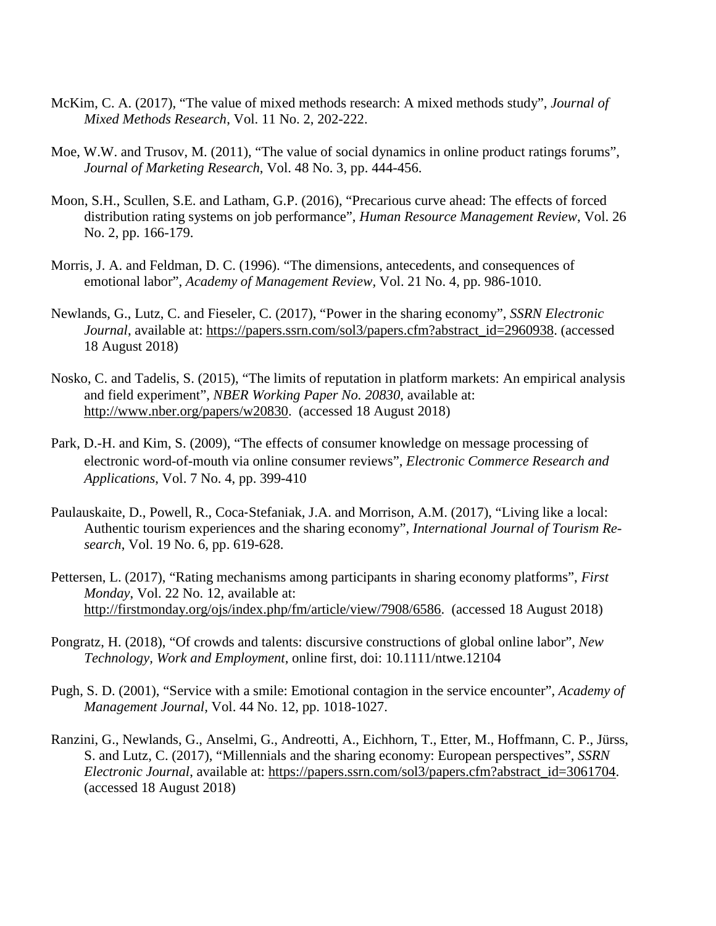- McKim, C. A. (2017), "The value of mixed methods research: A mixed methods study", *Journal of Mixed Methods Research*, Vol. 11 No. 2, 202-222.
- Moe, W.W. and Trusov, M. (2011), "The value of social dynamics in online product ratings forums", *Journal of Marketing Research*, Vol. 48 No. 3, pp. 444-456.
- Moon, S.H., Scullen, S.E. and Latham, G.P. (2016), "Precarious curve ahead: The effects of forced distribution rating systems on job performance", *Human Resource Management Review*, Vol. 26 No. 2, pp. 166-179.
- Morris, J. A. and Feldman, D. C. (1996). "The dimensions, antecedents, and consequences of emotional labor", *Academy of Management Review,* Vol. 21 No. 4, pp. 986-1010.
- Newlands, G., Lutz, C. and Fieseler, C. (2017), "Power in the sharing economy", *SSRN Electronic Journal*, available at: [https://papers.ssrn.com/sol3/papers.cfm?abstract\\_id=2960938.](https://papers.ssrn.com/sol3/papers.cfm?abstract_id=2960938) (accessed 18 August 2018)
- Nosko, C. and Tadelis, S. (2015), "The limits of reputation in platform markets: An empirical analysis and field experiment", *NBER Working Paper No. 20830*, available at: [http://www.nber.org/papers/w20830.](http://www.nber.org/papers/w20830) (accessed 18 August 2018)
- Park, D.-H. and Kim, S. (2009), "The effects of consumer knowledge on message processing of electronic word-of-mouth via online consumer reviews", *Electronic Commerce Research and Applications*, Vol. 7 No. 4, pp. 399-410
- Paulauskaite, D., Powell, R., Coca‐Stefaniak, J.A. and Morrison, A.M. (2017), "Living like a local: Authentic tourism experiences and the sharing economy", *International Journal of Tourism Research*, Vol. 19 No. 6, pp. 619-628.
- Pettersen, L. (2017), "Rating mechanisms among participants in sharing economy platforms", *First Monday*, Vol. 22 No. 12, available at: [http://firstmonday.org/ojs/index.php/fm/article/view/7908/6586.](http://firstmonday.org/ojs/index.php/fm/article/view/7908/6586) (accessed 18 August 2018)
- Pongratz, H. (2018), "Of crowds and talents: discursive constructions of global online labor", *New Technology, Work and Employment*, online first, doi: 10.1111/ntwe.12104
- Pugh, S. D. (2001), "Service with a smile: Emotional contagion in the service encounter", *Academy of Management Journal,* Vol. 44 No. 12, pp. 1018-1027.
- Ranzini, G., Newlands, G., Anselmi, G., Andreotti, A., Eichhorn, T., Etter, M., Hoffmann, C. P., Jürss, S. and Lutz, C. (2017), "Millennials and the sharing economy: European perspectives", *SSRN Electronic Journal*, available at: [https://papers.ssrn.com/sol3/papers.cfm?abstract\\_id=3061704.](https://papers.ssrn.com/sol3/papers.cfm?abstract_id=3061704) (accessed 18 August 2018)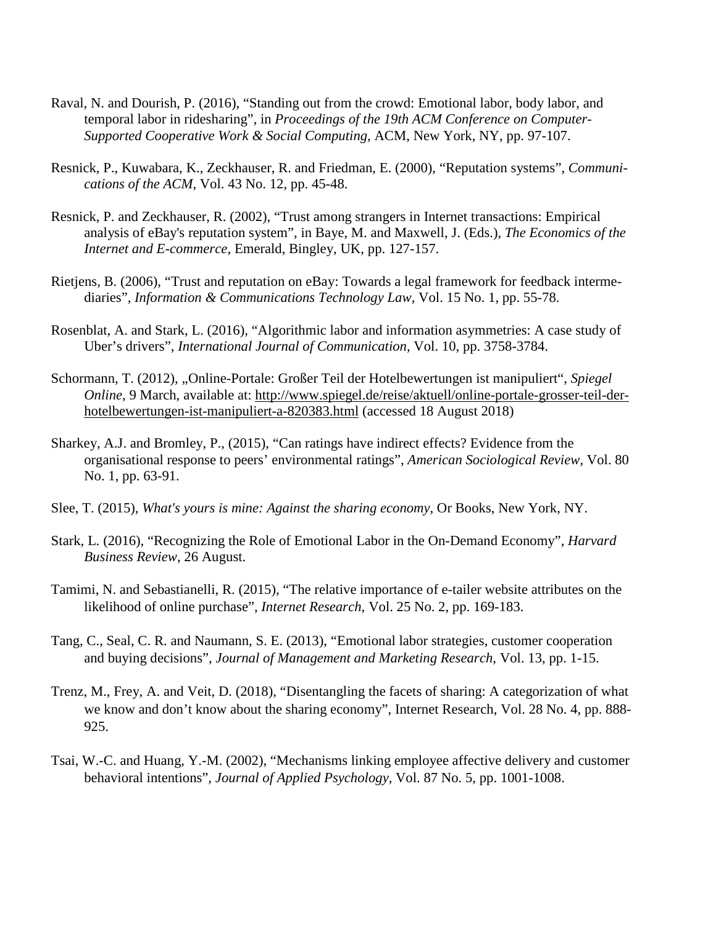- Raval, N. and Dourish, P. (2016), "Standing out from the crowd: Emotional labor, body labor, and temporal labor in ridesharing", in *Proceedings of the 19th ACM Conference on Computer-Supported Cooperative Work & Social Computing,* ACM, New York, NY, pp. 97-107.
- Resnick, P., Kuwabara, K., Zeckhauser, R. and Friedman, E. (2000), "Reputation systems", *Communications of the ACM*, Vol. 43 No. 12, pp. 45-48.
- Resnick, P. and Zeckhauser, R. (2002), "Trust among strangers in Internet transactions: Empirical analysis of eBay's reputation system", in Baye, M. and Maxwell, J. (Eds.), *The Economics of the Internet and E-commerce*, Emerald, Bingley, UK, pp. 127-157.
- Rietjens, B. (2006), "Trust and reputation on eBay: Towards a legal framework for feedback intermediaries", *Information & Communications Technology Law*, Vol. 15 No. 1, pp. 55-78.
- Rosenblat, A. and Stark, L. (2016), "Algorithmic labor and information asymmetries: A case study of Uber's drivers", *International Journal of Communication,* Vol. 10, pp. 3758-3784.
- Schormann, T. (2012), "Online-Portale: Großer Teil der Hotelbewertungen ist manipuliert", Spiegel *Online*, 9 March, available at: [http://www.spiegel.de/reise/aktuell/online-portale-grosser-teil-der](http://www.spiegel.de/reise/aktuell/online-portale-grosser-teil-der-hotelbewertungen-ist-manipuliert-a-820383.html)[hotelbewertungen-ist-manipuliert-a-820383.html](http://www.spiegel.de/reise/aktuell/online-portale-grosser-teil-der-hotelbewertungen-ist-manipuliert-a-820383.html) (accessed 18 August 2018)
- Sharkey, A.J. and Bromley, P., (2015), "Can ratings have indirect effects? Evidence from the organisational response to peers' environmental ratings", *American Sociological Review*, Vol. 80 No. 1, pp. 63-91.
- Slee, T. (2015), *What's yours is mine: Against the sharing economy*, Or Books, New York, NY.
- Stark, L. (2016), "Recognizing the Role of Emotional Labor in the On-Demand Economy", *Harvard Business Review,* 26 August.
- Tamimi, N. and Sebastianelli, R. (2015), "The relative importance of e-tailer website attributes on the likelihood of online purchase", *Internet Research*, Vol. 25 No. 2, pp. 169-183.
- Tang, C., Seal, C. R. and Naumann, S. E. (2013), "Emotional labor strategies, customer cooperation and buying decisions", *Journal of Management and Marketing Research,* Vol. 13, pp. 1-15.
- Trenz, M., Frey, A. and Veit, D. (2018), "Disentangling the facets of sharing: A categorization of what we know and don't know about the sharing economy", Internet Research, Vol. 28 No. 4, pp. 888- 925.
- Tsai, W.-C. and Huang, Y.-M. (2002), "Mechanisms linking employee affective delivery and customer behavioral intentions", *Journal of Applied Psychology,* Vol. 87 No. 5, pp. 1001-1008.